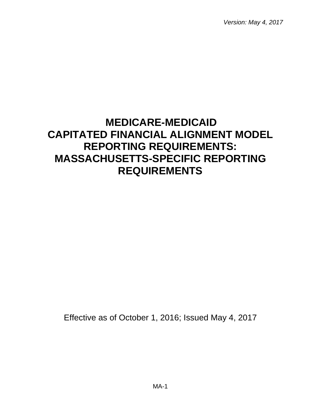*Version: May 4, 2017* 

# **MEDICARE-MEDICAID CAPITATED FINANCIAL ALIGNMENT MODEL REPORTING REQUIREMENTS: MASSACHUSETTS-SPECIFIC REPORTING REQUIREMENTS**

Effective as of October 1, 2016; Issued May 4, 2017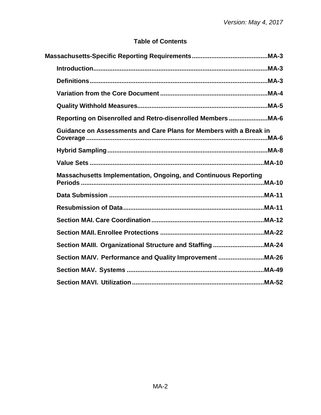# **Table of Contents**

| Definitions ………………………………………………………………………………………MA-3                                                                        |  |
|--------------------------------------------------------------------------------------------------------------------------|--|
|                                                                                                                          |  |
|                                                                                                                          |  |
| Reporting on Disenrolled and Retro-disenrolled Members MA-6                                                              |  |
| Guidance on Assessments and Care Plans for Members with a Break in                                                       |  |
|                                                                                                                          |  |
|                                                                                                                          |  |
| <b>Massachusetts Implementation, Ongoing, and Continuous Reporting</b><br>Periods ………………………………………………………………………………………MA-10 |  |
|                                                                                                                          |  |
|                                                                                                                          |  |
|                                                                                                                          |  |
|                                                                                                                          |  |
|                                                                                                                          |  |
| Section MAIV. Performance and Quality Improvement MA-26                                                                  |  |
|                                                                                                                          |  |
|                                                                                                                          |  |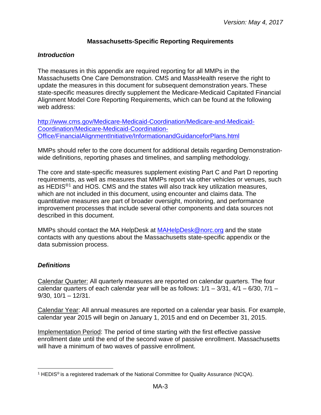## **Massachusetts-Specific Reporting Requirements**

## <span id="page-2-1"></span><span id="page-2-0"></span>*Introduction*

The measures in this appendix are required reporting for all MMPs in the Massachusetts One Care Demonstration. CMS and MassHealth reserve the right to update the measures in this document for subsequent demonstration years. These state-specific measures directly supplement the Medicare-Medicaid Capitated Financial Alignment Model Core Reporting Requirements, which can be found at the following web address:

[http://www.cms.gov/Medicare-Medicaid-Coordination/Medicare-and-Medicaid-](http://www.cms.gov/Medicare-Medicaid-Coordination/Medicare-and-Medicaid-Coordination/Medicare-Medicaid-Coordination-Office/FinancialAlignmentInitiative/InformationandGuidanceforPlans.html)[Coordination/Medicare-Medicaid-Coordination-](http://www.cms.gov/Medicare-Medicaid-Coordination/Medicare-and-Medicaid-Coordination/Medicare-Medicaid-Coordination-Office/FinancialAlignmentInitiative/InformationandGuidanceforPlans.html)[Office/FinancialAlignmentInitiative/InformationandGuidanceforPlans.html](http://www.cms.gov/Medicare-Medicaid-Coordination/Medicare-and-Medicaid-Coordination/Medicare-Medicaid-Coordination-Office/FinancialAlignmentInitiative/InformationandGuidanceforPlans.html)

MMPs should refer to the core document for additional details regarding Demonstrationwide definitions, reporting phases and timelines, and sampling methodology.

The core and state-specific measures supplement existing Part C and Part D reporting requirements, as well as measures that MMPs report via other vehicles or venues, such as HEDIS<sup>®[1](#page-2-3)</sup> and HOS. CMS and the states will also track key utilization measures, which are not included in this document, using encounter and claims data. The quantitative measures are part of broader oversight, monitoring, and performance improvement processes that include several other components and data sources not described in this document.

MMPs should contact the MA HelpDesk at **MAHelpDesk@norc.org** and the state contacts with any questions about the Massachusetts state-specific appendix or the data submission process.

## <span id="page-2-2"></span>*Definitions*

Calendar Quarter: All quarterly measures are reported on calendar quarters. The four calendar quarters of each calendar year will be as follows:  $1/1 - 3/31$ ,  $4/1 - 6/30$ ,  $7/1 - 1/1$ 9/30, 10/1 – 12/31.

Calendar Year: All annual measures are reported on a calendar year basis. For example, calendar year 2015 will begin on January 1, 2015 and end on December 31, 2015.

Implementation Period: The period of time starting with the first effective passive enrollment date until the end of the second wave of passive enrollment. Massachusetts will have a minimum of two waves of passive enrollment.

<span id="page-2-3"></span><sup>&</sup>lt;sup>1</sup> HEDIS<sup>®</sup> is a registered trademark of the National Committee for Quality Assurance (NCQA).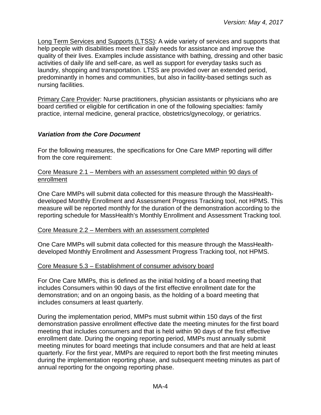Long Term Services and Supports (LTSS): A wide variety of services and supports that help people with disabilities meet their daily needs for assistance and improve the quality of their lives. Examples include assistance with bathing, dressing and other basic activities of daily life and self-care, as well as support for everyday tasks such as laundry, shopping and transportation. LTSS are provided over an extended period, predominantly in homes and communities, but also in facility-based settings such as nursing facilities.

Primary Care Provider: Nurse practitioners, physician assistants or physicians who are board certified or eligible for certification in one of the following specialties: family practice, internal medicine, general practice, obstetrics/gynecology, or geriatrics.

#### <span id="page-3-0"></span>*Variation from the Core Document*

For the following measures, the specifications for One Care MMP reporting will differ from the core requirement:

#### Core Measure 2.1 – Members with an assessment completed within 90 days of enrollment

One Care MMPs will submit data collected for this measure through the MassHealthdeveloped Monthly Enrollment and Assessment Progress Tracking tool, not HPMS. This measure will be reported monthly for the duration of the demonstration according to the reporting schedule for MassHealth's Monthly Enrollment and Assessment Tracking tool.

#### Core Measure 2.2 – Members with an assessment completed

One Care MMPs will submit data collected for this measure through the MassHealthdeveloped Monthly Enrollment and Assessment Progress Tracking tool, not HPMS.

#### Core Measure 5.3 – Establishment of consumer advisory board

For One Care MMPs, this is defined as the initial holding of a board meeting that includes Consumers within 90 days of the first effective enrollment date for the demonstration; and on an ongoing basis, as the holding of a board meeting that includes consumers at least quarterly.

During the implementation period, MMPs must submit within 150 days of the first demonstration passive enrollment effective date the meeting minutes for the first board meeting that includes consumers and that is held within 90 days of the first effective enrollment date. During the ongoing reporting period, MMPs must annually submit meeting minutes for board meetings that include consumers and that are held at least quarterly. For the first year, MMPs are required to report both the first meeting minutes during the implementation reporting phase, and subsequent meeting minutes as part of annual reporting for the ongoing reporting phase.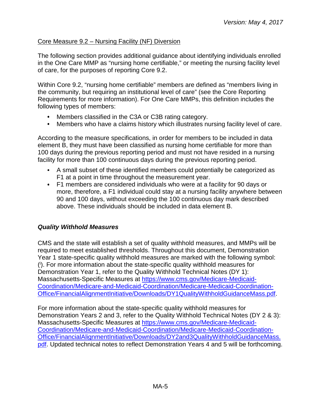## Core Measure 9.2 – Nursing Facility (NF) Diversion

The following section provides additional guidance about identifying individuals enrolled in the One Care MMP as "nursing home certifiable," or meeting the nursing facility level of care, for the purposes of reporting Core 9.2.

Within Core 9.2, "nursing home certifiable" members are defined as "members living in the community, but requiring an institutional level of care" (see the Core Reporting Requirements for more information). For One Care MMPs, this definition includes the following types of members:

- Members classified in the C3A or C3B rating category.
- Members who have a claims history which illustrates nursing facility level of care.  $\bullet$

According to the measure specifications, in order for members to be included in data element B, they must have been classified as nursing home certifiable for more than 100 days during the previous reporting period and must not have resided in a nursing facility for more than 100 continuous days during the previous reporting period.

- A small subset of these identified members could potentially be categorized as F1 at a point in time throughout the measurement year.
- F1 members are considered individuals who were at a facility for 90 days or more, therefore, a F1 individual could stay at a nursing facility anywhere between 90 and 100 days, without exceeding the 100 continuous day mark described above. These individuals should be included in data element B.

# <span id="page-4-0"></span>*Quality Withhold Measures*

CMS and the state will establish a set of quality withhold measures, and MMPs will be required to meet established thresholds. Throughout this document, Demonstration Year 1 state-specific quality withhold measures are marked with the following symbol: ( i ). For more information about the state-specific quality withhold measures for Demonstration Year 1, refer to the Quality Withhold Technical Notes (DY 1): Massachusetts-Specific Measures at [https://www.cms.gov/Medicare-Medicaid-](https://www.cms.gov/Medicare-Medicaid-Coordination/Medicare-and-Medicaid-Coordination/Medicare-Medicaid-Coordination-Office/FinancialAlignmentInitiative/Downloads/DY1QualityWithholdGuidanceMass.pdf)[Coordination/Medicare-and-Medicaid-Coordination/Medicare-Medicaid-Coordination-](https://www.cms.gov/Medicare-Medicaid-Coordination/Medicare-and-Medicaid-Coordination/Medicare-Medicaid-Coordination-Office/FinancialAlignmentInitiative/Downloads/DY1QualityWithholdGuidanceMass.pdf)[Office/FinancialAlignmentInitiative/Downloads/DY1QualityWithholdGuidanceMass.pdf.](https://www.cms.gov/Medicare-Medicaid-Coordination/Medicare-and-Medicaid-Coordination/Medicare-Medicaid-Coordination-Office/FinancialAlignmentInitiative/Downloads/DY1QualityWithholdGuidanceMass.pdf)

For more information about the state-specific quality withhold measures for Demonstration Years 2 and 3, refer to the Quality Withhold Technical Notes (DY 2 & 3): Massachusetts-Specific Measures at [https://www.cms.gov/Medicare-Medicaid-](https://www.cms.gov/Medicare-Medicaid-Coordination/Medicare-and-Medicaid-Coordination/Medicare-Medicaid-Coordination-Office/FinancialAlignmentInitiative/Downloads/DY2and3QualityWithholdGuidanceMass.pdf)[Coordination/Medicare-and-Medicaid-Coordination/Medicare-Medicaid-Coordination-](https://www.cms.gov/Medicare-Medicaid-Coordination/Medicare-and-Medicaid-Coordination/Medicare-Medicaid-Coordination-Office/FinancialAlignmentInitiative/Downloads/DY2and3QualityWithholdGuidanceMass.pdf)[Office/FinancialAlignmentInitiative/Downloads/DY2and3QualityWithholdGuidanceMass.](https://www.cms.gov/Medicare-Medicaid-Coordination/Medicare-and-Medicaid-Coordination/Medicare-Medicaid-Coordination-Office/FinancialAlignmentInitiative/Downloads/DY2and3QualityWithholdGuidanceMass.pdf) [pdf.](https://www.cms.gov/Medicare-Medicaid-Coordination/Medicare-and-Medicaid-Coordination/Medicare-Medicaid-Coordination-Office/FinancialAlignmentInitiative/Downloads/DY2and3QualityWithholdGuidanceMass.pdf) Updated technical notes to reflect Demonstration Years 4 and 5 will be forthcoming.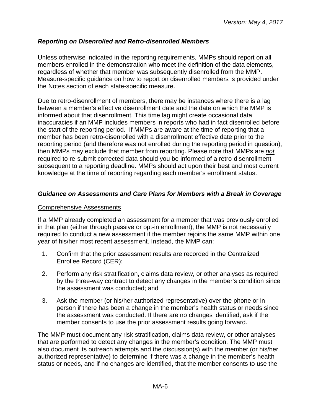## <span id="page-5-0"></span>*Reporting on Disenrolled and Retro-disenrolled Members*

Unless otherwise indicated in the reporting requirements, MMPs should report on all members enrolled in the demonstration who meet the definition of the data elements, regardless of whether that member was subsequently disenrolled from the MMP. Measure-specific guidance on how to report on disenrolled members is provided under the Notes section of each state-specific measure.

Due to retro-disenrollment of members, there may be instances where there is a lag between a member's effective disenrollment date and the date on which the MMP is informed about that disenrollment. This time lag might create occasional data inaccuracies if an MMP includes members in reports who had in fact disenrolled before the start of the reporting period. If MMPs are aware at the time of reporting that a member has been retro-disenrolled with a disenrollment effective date prior to the reporting period (and therefore was not enrolled during the reporting period in question), then MMPs may exclude that member from reporting. Please note that MMPs are *not* required to re-submit corrected data should you be informed of a retro-disenrollment subsequent to a reporting deadline. MMPs should act upon their best and most current knowledge at the time of reporting regarding each member's enrollment status.

## <span id="page-5-1"></span>*Guidance on Assessments and Care Plans for Members with a Break in Coverage*

#### Comprehensive Assessments

If a MMP already completed an assessment for a member that was previously enrolled in that plan (either through passive or opt-in enrollment), the MMP is not necessarily required to conduct a new assessment if the member rejoins the same MMP within one year of his/her most recent assessment. Instead, the MMP can:

- 1. Confirm that the prior assessment results are recorded in the Centralized Enrollee Record (CER);
- 2. Perform any risk stratification, claims data review, or other analyses as required by the three-way contract to detect any changes in the member's condition since the assessment was conducted; and
- 3. Ask the member (or his/her authorized representative) over the phone or in person if there has been a change in the member's health status or needs since the assessment was conducted. If there are no changes identified, ask if the member consents to use the prior assessment results going forward.

The MMP must document any risk stratification, claims data review, or other analyses that are performed to detect any changes in the member's condition. The MMP must also document its outreach attempts and the discussion(s) with the member (or his/her authorized representative) to determine if there was a change in the member's health status or needs, and if no changes are identified, that the member consents to use the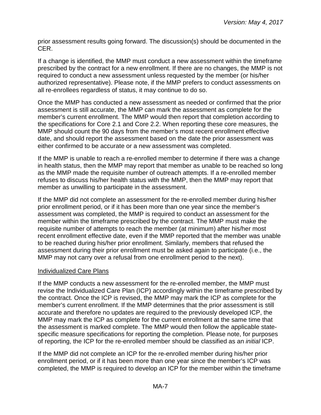prior assessment results going forward. The discussion(s) should be documented in the CER.

If a change is identified, the MMP must conduct a new assessment within the timeframe prescribed by the contract for a new enrollment. If there are no changes, the MMP is not required to conduct a new assessment unless requested by the member (or his/her authorized representative). Please note, if the MMP prefers to conduct assessments on all re-enrollees regardless of status, it may continue to do so.

Once the MMP has conducted a new assessment as needed or confirmed that the prior assessment is still accurate, the MMP can mark the assessment as complete for the member's current enrollment. The MMP would then report that completion according to the specifications for Core 2.1 and Core 2.2. When reporting these core measures, the MMP should count the 90 days from the member's most recent enrollment effective date, and should report the assessment based on the date the prior assessment was either confirmed to be accurate or a new assessment was completed.

If the MMP is unable to reach a re-enrolled member to determine if there was a change in health status, then the MMP may report that member as unable to be reached so long as the MMP made the requisite number of outreach attempts. If a re-enrolled member refuses to discuss his/her health status with the MMP, then the MMP may report that member as unwilling to participate in the assessment.

If the MMP did not complete an assessment for the re-enrolled member during his/her prior enrollment period, or if it has been more than one year since the member's assessment was completed, the MMP is required to conduct an assessment for the member within the timeframe prescribed by the contract. The MMP must make the requisite number of attempts to reach the member (at minimum) after his/her most recent enrollment effective date, even if the MMP reported that the member was unable to be reached during his/her prior enrollment. Similarly, members that refused the assessment during their prior enrollment must be asked again to participate (i.e., the MMP may not carry over a refusal from one enrollment period to the next).

## Individualized Care Plans

If the MMP conducts a new assessment for the re-enrolled member, the MMP must revise the Individualized Care Plan (ICP) accordingly within the timeframe prescribed by the contract. Once the ICP is revised, the MMP may mark the ICP as complete for the member's current enrollment. If the MMP determines that the prior assessment is still accurate and therefore no updates are required to the previously developed ICP, the MMP may mark the ICP as complete for the current enrollment at the same time that the assessment is marked complete. The MMP would then follow the applicable statespecific measure specifications for reporting the completion. Please note, for purposes of reporting, the ICP for the re-enrolled member should be classified as an *initial* ICP.

If the MMP did not complete an ICP for the re-enrolled member during his/her prior enrollment period, or if it has been more than one year since the member's ICP was completed, the MMP is required to develop an ICP for the member within the timeframe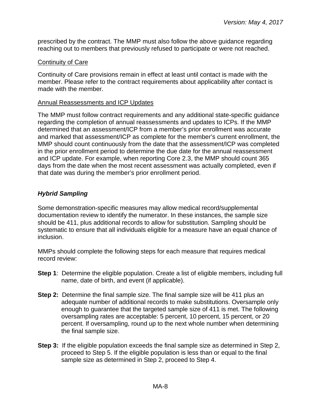prescribed by the contract. The MMP must also follow the above guidance regarding reaching out to members that previously refused to participate or were not reached.

#### Continuity of Care

Continuity of Care provisions remain in effect at least until contact is made with the member. Please refer to the contract requirements about applicability after contact is made with the member.

#### Annual Reassessments and ICP Updates

The MMP must follow contract requirements and any additional state-specific guidance regarding the completion of annual reassessments and updates to ICPs. If the MMP determined that an assessment/ICP from a member's prior enrollment was accurate and marked that assessment/ICP as complete for the member's current enrollment, the MMP should count continuously from the date that the assessment/ICP was completed in the prior enrollment period to determine the due date for the annual reassessment and ICP update. For example, when reporting Core 2.3, the MMP should count 365 days from the date when the most recent assessment was actually completed, even if that date was during the member's prior enrollment period.

## <span id="page-7-0"></span>*Hybrid Sampling*

Some demonstration-specific measures may allow medical record/supplemental documentation review to identify the numerator. In these instances, the sample size should be 411, plus additional records to allow for substitution. Sampling should be systematic to ensure that all individuals eligible for a measure have an equal chance of inclusion.

MMPs should complete the following steps for each measure that requires medical record review:

- **Step 1:** Determine the eligible population. Create a list of eligible members, including full name, date of birth, and event (if applicable).
- **Step 2:** Determine the final sample size. The final sample size will be 411 plus an adequate number of additional records to make substitutions. Oversample only enough to guarantee that the targeted sample size of 411 is met. The following oversampling rates are acceptable: 5 percent, 10 percent, 15 percent, or 20 percent. If oversampling, round up to the next whole number when determining the final sample size.
- **Step 3:** If the eligible population exceeds the final sample size as determined in Step 2, proceed to Step 5. If the eligible population is less than or equal to the final sample size as determined in Step 2, proceed to Step 4.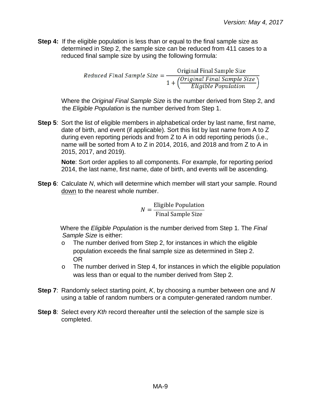**Step 4:** If the eligible population is less than or equal to the final sample size as determined in Step 2, the sample size can be reduced from 411 cases to a reduced final sample size by using the following formula:

Reduced Final Sample Size =  $\frac{\text{Original Final Small}}{1 + \left(\frac{\text{Original final Sample Size}}{\text{Elizabeth Population}}\right)}$ 

Where the *Original Final Sample Size* is the number derived from Step 2, and the *Eligible Population* is the number derived from Step 1.

**Step 5**: Sort the list of eligible members in alphabetical order by last name, first name, date of birth, and event (if applicable). Sort this list by last name from A to Z during even reporting periods and from Z to A in odd reporting periods (i.e., name will be sorted from A to Z in 2014, 2016, and 2018 and from Z to A in 2015, 2017, and 2019).

**Note**: Sort order applies to all components. For example, for reporting period 2014, the last name, first name, date of birth, and events will be ascending.

**Step 6**: Calculate *N*, which will determine which member will start your sample. Round down to the nearest whole number.

> $N = \frac{\text{Eligible Population}}{\text{Final Sample Size}}$ Final Sample Size

Where the *Eligible Population* is the number derived from Step 1. The *Final Sample Size* is either:

- o The number derived from Step 2, for instances in which the eligible population exceeds the final sample size as determined in Step 2. OR
- $\circ$  The number derived in Step 4, for instances in which the eligible population was less than or equal to the number derived from Step 2.
- **Step 7**: Randomly select starting point, *K*, by choosing a number between one and *N* using a table of random numbers or a computer-generated random number.
- <span id="page-8-0"></span>**Step 8**: Select every *Kth* record thereafter until the selection of the sample size is completed.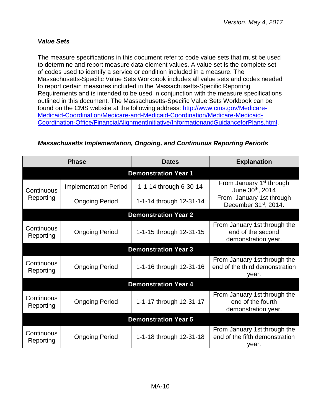## *Value Sets*

The measure specifications in this document refer to code value sets that must be used to determine and report measure data element values. A value set is the complete set of codes used to identify a service or condition included in a measure. The Massachusetts-Specific Value Sets Workbook includes all value sets and codes needed to report certain measures included in the Massachusetts-Specific Reporting Requirements and is intended to be used in conjunction with the measure specifications outlined in this document. The Massachusetts-Specific Value Sets Workbook can be found on the CMS website at the following address: [http://www.cms.gov/Medicare-](http://www.cms.gov/Medicare-Medicaid-Coordination/Medicare-and-Medicaid-Coordination/Medicare-Medicaid-Coordination-Office/FinancialAlignmentInitiative/InformationandGuidanceforPlans.html)[Medicaid-Coordination/Medicare-and-Medicaid-Coordination/Medicare-Medicaid-](http://www.cms.gov/Medicare-Medicaid-Coordination/Medicare-and-Medicaid-Coordination/Medicare-Medicaid-Coordination-Office/FinancialAlignmentInitiative/InformationandGuidanceforPlans.html)[Coordination-Office/FinancialAlignmentInitiative/InformationandGuidanceforPlans.html.](http://www.cms.gov/Medicare-Medicaid-Coordination/Medicare-and-Medicaid-Coordination/Medicare-Medicaid-Coordination-Office/FinancialAlignmentInitiative/InformationandGuidanceforPlans.html)

# <span id="page-9-0"></span>*Massachusetts Implementation, Ongoing, and Continuous Reporting Periods*

| <b>Phase</b>                |                              | <b>Dates</b>                | <b>Explanation</b>                                                       |  |
|-----------------------------|------------------------------|-----------------------------|--------------------------------------------------------------------------|--|
|                             |                              | <b>Demonstration Year 1</b> |                                                                          |  |
| Continuous                  | <b>Implementation Period</b> | 1-1-14 through 6-30-14      | From January 1 <sup>st</sup> through<br>June 30th, 2014                  |  |
| Reporting                   | <b>Ongoing Period</b>        | 1-1-14 through 12-31-14     | From January 1st through<br>December 31 <sup>st</sup> , 2014.            |  |
|                             |                              | <b>Demonstration Year 2</b> |                                                                          |  |
| Continuous<br>Reporting     | <b>Ongoing Period</b>        | 1-1-15 through 12-31-15     | From January 1st through the<br>end of the second<br>demonstration year. |  |
|                             |                              | <b>Demonstration Year 3</b> |                                                                          |  |
| Continuous<br>Reporting     | <b>Ongoing Period</b>        | 1-1-16 through 12-31-16     | From January 1st through the<br>end of the third demonstration<br>year.  |  |
|                             |                              | <b>Demonstration Year 4</b> |                                                                          |  |
| Continuous<br>Reporting     | <b>Ongoing Period</b>        | 1-1-17 through 12-31-17     | From January 1st through the<br>end of the fourth<br>demonstration year. |  |
| <b>Demonstration Year 5</b> |                              |                             |                                                                          |  |
| Continuous<br>Reporting     | <b>Ongoing Period</b>        | 1-1-18 through 12-31-18     | From January 1st through the<br>end of the fifth demonstration<br>year.  |  |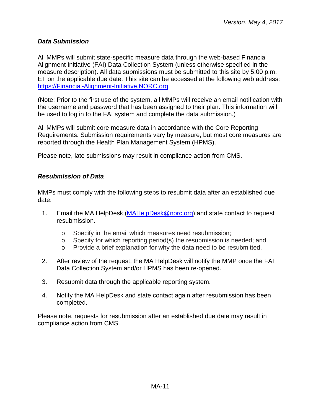## <span id="page-10-0"></span>*Data Submission*

All MMPs will submit state-specific measure data through the web-based Financial Alignment Initiative (FAI) Data Collection System (unless otherwise specified in the measure description). All data submissions must be submitted to this site by 5:00 p.m. ET on the applicable due date. This site can be accessed at the following web address: [https://Financial-Alignment-Initiative.NORC.org](https://financial-alignment-initiative.norc.org/)

(Note: Prior to the first use of the system, all MMPs will receive an email notification with the username and password that has been assigned to their plan. This information will be used to log in to the FAI system and complete the data submission.)

All MMPs will submit core measure data in accordance with the Core Reporting Requirements. Submission requirements vary by measure, but most core measures are reported through the Health Plan Management System (HPMS).

Please note, late submissions may result in compliance action from CMS.

## <span id="page-10-1"></span>*Resubmission of Data*

MMPs must comply with the following steps to resubmit data after an established due date:

- 1. Email the MA HelpDesk [\(MAHelpDesk@norc.org\)](mailto:MAHelpDesk@norc.org) and state contact to request resubmission.
	- o Specify in the email which measures need resubmission;
	- o Specify for which reporting period(s) the resubmission is needed; and
	- o Provide a brief explanation for why the data need to be resubmitted.
- 2. After review of the request, the MA HelpDesk will notify the MMP once the FAI Data Collection System and/or HPMS has been re-opened.
- 3. Resubmit data through the applicable reporting system.
- 4. Notify the MA HelpDesk and state contact again after resubmission has been completed.

Please note, requests for resubmission after an established due date may result in compliance action from CMS.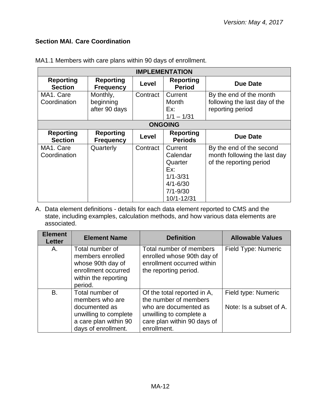## <span id="page-11-0"></span>**Section MAI. Care Coordination**

| <b>IMPLEMENTATION</b>              |                                        |          |                                                                                                     |                                                                                     |
|------------------------------------|----------------------------------------|----------|-----------------------------------------------------------------------------------------------------|-------------------------------------------------------------------------------------|
| <b>Reporting</b><br><b>Section</b> | <b>Reporting</b><br><b>Frequency</b>   | Level    | <b>Reporting</b><br><b>Period</b>                                                                   | <b>Due Date</b>                                                                     |
| MA1. Care<br>Coordination          | Monthly,<br>beginning<br>after 90 days | Contract | Current<br>Month<br>Ex:<br>$1/1 - 1/31$                                                             | By the end of the month<br>following the last day of the<br>reporting period        |
|                                    |                                        |          | <b>ONGOING</b>                                                                                      |                                                                                     |
| <b>Reporting</b><br><b>Section</b> | <b>Reporting</b><br><b>Frequency</b>   | Level    | <b>Reporting</b><br><b>Periods</b>                                                                  | <b>Due Date</b>                                                                     |
| MA1. Care<br>Coordination          | Quarterly                              | Contract | Current<br>Calendar<br>Quarter<br>Ex:<br>$1/1 - 3/31$<br>$4/1 - 6/30$<br>$7/1 - 9/30$<br>10/1-12/31 | By the end of the second<br>month following the last day<br>of the reporting period |

MA1.1 Members with care plans within 90 days of enrollment.

A. Data element definitions - details for each data element reported to CMS and the state, including examples, calculation methods, and how various data elements are associated.

| <b>Element</b><br><b>Letter</b> | <b>Element Name</b>                                                                                                          | <b>Definition</b>                                                                                                                                      | <b>Allowable Values</b>                        |
|---------------------------------|------------------------------------------------------------------------------------------------------------------------------|--------------------------------------------------------------------------------------------------------------------------------------------------------|------------------------------------------------|
| А.                              | Total number of<br>members enrolled<br>whose 90th day of<br>enrollment occurred<br>within the reporting<br>period.           | Total number of members<br>enrolled whose 90th day of<br>enrollment occurred within<br>the reporting period.                                           | Field Type: Numeric                            |
| B.                              | Total number of<br>members who are<br>documented as<br>unwilling to complete<br>a care plan within 90<br>days of enrollment. | Of the total reported in A,<br>the number of members<br>who are documented as<br>unwilling to complete a<br>care plan within 90 days of<br>enrollment. | Field type: Numeric<br>Note: Is a subset of A. |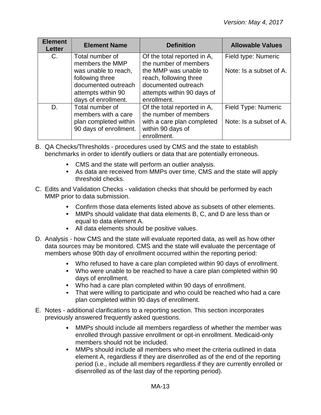| <b>Element</b><br><b>Letter</b> | <b>Element Name</b>                                            | <b>Definition</b>                                                      | <b>Allowable Values</b> |
|---------------------------------|----------------------------------------------------------------|------------------------------------------------------------------------|-------------------------|
| $C_{\cdot}$                     | Total number of<br>members the MMP                             | Of the total reported in A,<br>the number of members                   | Field type: Numeric     |
|                                 | was unable to reach,<br>following three<br>documented outreach | the MMP was unable to<br>reach, following three<br>documented outreach | Note: Is a subset of A. |
|                                 | attempts within 90<br>days of enrollment.                      | attempts within 90 days of<br>enrollment.                              |                         |
| D.                              | Total number of<br>members with a care                         | Of the total reported in A,<br>the number of members                   | Field Type: Numeric     |
|                                 | plan completed within<br>90 days of enrollment.                | with a care plan completed<br>within 90 days of<br>enrollment.         | Note: Is a subset of A. |

- B. QA Checks/Thresholds procedures used by CMS and the state to establish benchmarks in order to identify outliers or data that are potentially erroneous.
	- CMS and the state will perform an outlier analysis.
	- As data are received from MMPs over time, CMS and the state will apply threshold checks.
- C. Edits and Validation Checks validation checks that should be performed by each MMP prior to data submission.
	- Confirm those data elements listed above as subsets of other elements.
	- MMPs should validate that data elements B, C, and D are less than or equal to data element A.
	- All data elements should be positive values.
- D. Analysis how CMS and the state will evaluate reported data, as well as how other data sources may be monitored. CMS and the state will evaluate the percentage of members whose 90th day of enrollment occurred within the reporting period:
	- Who refused to have a care plan completed within 90 days of enrollment.
	- Who were unable to be reached to have a care plan completed within 90 days of enrollment.
	- Who had a care plan completed within 90 days of enrollment.
	- That were willing to participate and who could be reached who had a care plan completed within 90 days of enrollment.
- E. Notes additional clarifications to a reporting section. This section incorporates previously answered frequently asked questions.
	- $\bullet$ MMPs should include all members regardless of whether the member was enrolled through passive enrollment or opt-in enrollment. Medicaid-only members should not be included.
	- $\bullet$ MMPs should include all members who meet the criteria outlined in data element A, regardless if they are disenrolled as of the end of the reporting period (i.e., include all members regardless if they are currently enrolled or disenrolled as of the last day of the reporting period).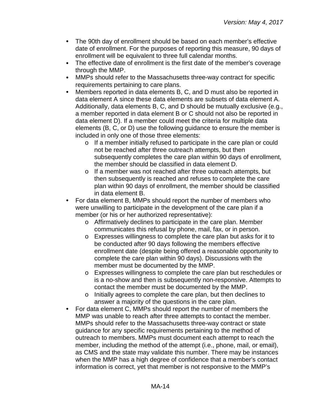- $\bullet$ The 90th day of enrollment should be based on each member's effective date of enrollment. For the purposes of reporting this measure, 90 days of enrollment will be equivalent to three full calendar months.
- The effective date of enrollment is the first date of the member's coverage through the MMP.
- $\bullet$ MMPs should refer to the Massachusetts three-way contract for specific requirements pertaining to care plans.
- $\bullet$ Members reported in data elements B, C, and D must also be reported in data element A since these data elements are subsets of data element A. Additionally, data elements B, C, and D should be mutually exclusive (e.g., a member reported in data element B or C should not also be reported in data element D). If a member could meet the criteria for multiple data elements (B, C, or D) use the following guidance to ensure the member is included in only one of those three elements:
	- o If a member initially refused to participate in the care plan or could not be reached after three outreach attempts, but then subsequently completes the care plan within 90 days of enrollment, the member should be classified in data element D.
	- o If a member was not reached after three outreach attempts, but then subsequently is reached and refuses to complete the care plan within 90 days of enrollment, the member should be classified in data element B.
- For data element B, MMPs should report the number of members who  $\bullet$ were unwilling to participate in the development of the care plan if a member (or his or her authorized representative):
	- o Affirmatively declines to participate in the care plan. Member communicates this refusal by phone, mail, fax, or in person.
	- o Expresses willingness to complete the care plan but asks for it to be conducted after 90 days following the members effective enrollment date (despite being offered a reasonable opportunity to complete the care plan within 90 days). Discussions with the member must be documented by the MMP.
	- o Expresses willingness to complete the care plan but reschedules or is a no-show and then is subsequently non-responsive. Attempts to contact the member must be documented by the MMP.
	- o Initially agrees to complete the care plan, but then declines to answer a majority of the questions in the care plan.
- For data element C, MMPs should report the number of members the  $\bullet$ MMP was unable to reach after three attempts to contact the member. MMPs should refer to the Massachusetts three-way contract or state guidance for any specific requirements pertaining to the method of outreach to members. MMPs must document each attempt to reach the member, including the method of the attempt (i.e., phone, mail, or email), as CMS and the state may validate this number. There may be instances when the MMP has a high degree of confidence that a member's contact information is correct, yet that member is not responsive to the MMP's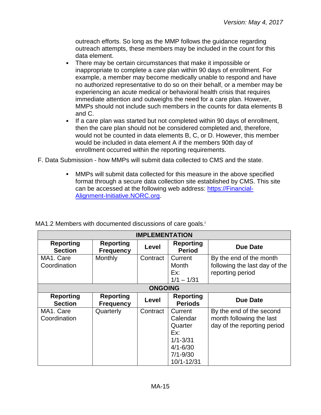outreach efforts. So long as the MMP follows the guidance regarding outreach attempts, these members may be included in the count for this data element.

- $\bullet$ There may be certain circumstances that make it impossible or inappropriate to complete a care plan within 90 days of enrollment. For example, a member may become medically unable to respond and have no authorized representative to do so on their behalf, or a member may be experiencing an acute medical or behavioral health crisis that requires immediate attention and outweighs the need for a care plan. However, MMPs should not include such members in the counts for data elements B and C.
- $\bullet$ If a care plan was started but not completed within 90 days of enrollment, then the care plan should not be considered completed and, therefore, would not be counted in data elements B, C, or D. However, this member would be included in data element A if the members 90th day of enrollment occurred within the reporting requirements.
- F. Data Submission how MMPs will submit data collected to CMS and the state.
	- MMPs will submit data collected for this measure in the above specified  $\bullet$ format through a secure data collection site established by CMS. This site can be accessed at the following web address: [https://Financial-](https://financial-alignment-initiative.norc.org/)[Alignment-Initiative.NORC.org.](https://financial-alignment-initiative.norc.org/)

| <b>IMPLEMENTATION</b>              |                                      |                |                                                                                                     |                                                                                     |
|------------------------------------|--------------------------------------|----------------|-----------------------------------------------------------------------------------------------------|-------------------------------------------------------------------------------------|
| <b>Reporting</b><br><b>Section</b> | <b>Reporting</b><br><b>Frequency</b> | Level          | <b>Reporting</b><br><b>Period</b>                                                                   | <b>Due Date</b>                                                                     |
| MA1. Care<br>Coordination          | Monthly                              | Contract       | Current<br>Month<br>Ex:<br>$1/1 - 1/31$                                                             | By the end of the month<br>following the last day of the<br>reporting period        |
|                                    |                                      | <b>ONGOING</b> |                                                                                                     |                                                                                     |
| <b>Reporting</b><br><b>Section</b> | <b>Reporting</b><br><b>Frequency</b> | Level          | <b>Reporting</b><br><b>Periods</b>                                                                  | <b>Due Date</b>                                                                     |
| MA1. Care<br>Coordination          | Quarterly                            | Contract       | Current<br>Calendar<br>Quarter<br>Ex:<br>$1/1 - 3/31$<br>$4/1 - 6/30$<br>$7/1 - 9/30$<br>10/1-12/31 | By the end of the second<br>month following the last<br>day of the reporting period |

MA1.2 Members with documented discussions of care goals.<sup>i</sup>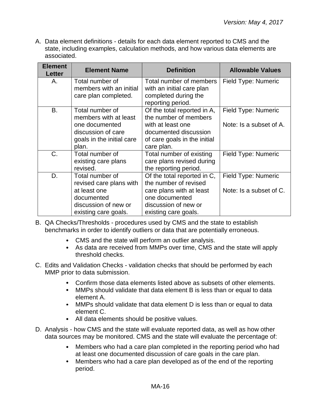A. Data element definitions - details for each data element reported to CMS and the state, including examples, calculation methods, and how various data elements are associated.

| <b>Element</b><br><b>Letter</b> | <b>Element Name</b>                                                                                                      | <b>Definition</b>                                                                                                                                  | <b>Allowable Values</b>                        |
|---------------------------------|--------------------------------------------------------------------------------------------------------------------------|----------------------------------------------------------------------------------------------------------------------------------------------------|------------------------------------------------|
| А.                              | Total number of<br>members with an initial<br>care plan completed.                                                       | Total number of members<br>with an initial care plan<br>completed during the<br>reporting period.                                                  | Field Type: Numeric                            |
| B.                              | Total number of<br>members with at least<br>one documented<br>discussion of care<br>goals in the initial care<br>plan.   | Of the total reported in A,<br>the number of members<br>with at least one<br>documented discussion<br>of care goals in the initial<br>care plan.   | Field Type: Numeric<br>Note: Is a subset of A. |
| C.                              | Total number of<br>existing care plans<br>revised.                                                                       | Total number of existing<br>care plans revised during<br>the reporting period.                                                                     | Field Type: Numeric                            |
| D.                              | Total number of<br>revised care plans with<br>at least one<br>documented<br>discussion of new or<br>existing care goals. | Of the total reported in C,<br>the number of revised<br>care plans with at least<br>one documented<br>discussion of new or<br>existing care goals. | Field Type: Numeric<br>Note: Is a subset of C. |

- B. QA Checks/Thresholds procedures used by CMS and the state to establish benchmarks in order to identify outliers or data that are potentially erroneous.
	- CMS and the state will perform an outlier analysis.
	- As data are received from MMPs over time, CMS and the state will apply threshold checks.
- C. Edits and Validation Checks validation checks that should be performed by each MMP prior to data submission.
	- Confirm those data elements listed above as subsets of other elements.
	- MMPs should validate that data element B is less than or equal to data element A.
	- MMPs should validate that data element D is less than or equal to data element C.
	- All data elements should be positive values.
- D. Analysis how CMS and the state will evaluate reported data, as well as how other data sources may be monitored. CMS and the state will evaluate the percentage of:
	- Members who had a care plan completed in the reporting period who had  $\bullet$ at least one documented discussion of care goals in the care plan.
	- $\bullet$ Members who had a care plan developed as of the end of the reporting period.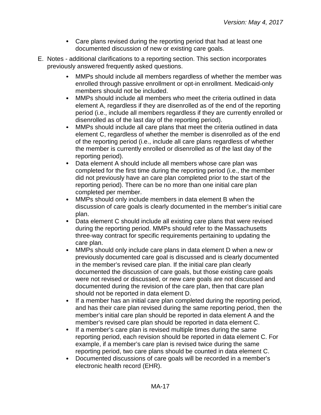- Care plans revised during the reporting period that had at least one documented discussion of new or existing care goals.
- E. Notes additional clarifications to a reporting section. This section incorporates previously answered frequently asked questions.
	- MMPs should include all members regardless of whether the member was  $\bullet$ enrolled through passive enrollment or opt-in enrollment. Medicaid-only members should not be included.
	- $\bullet$ MMPs should include all members who meet the criteria outlined in data element A, regardless if they are disenrolled as of the end of the reporting period (i.e., include all members regardless if they are currently enrolled or disenrolled as of the last day of the reporting period).
	- MMPs should include all care plans that meet the criteria outlined in data  $\bullet$ element C, regardless of whether the member is disenrolled as of the end of the reporting period (i.e., include all care plans regardless of whether the member is currently enrolled or disenrolled as of the last day of the reporting period).
	- Data element A should include all members whose care plan was completed for the first time during the reporting period (i.e., the member did not previously have an care plan completed prior to the start of the reporting period). There can be no more than one initial care plan completed per member.
	- MMPs should only include members in data element B when the  $\bullet$ discussion of care goals is clearly documented in the member's initial care plan.
	- Data element C should include all existing care plans that were revised during the reporting period. MMPs should refer to the Massachusetts three-way contract for specific requirements pertaining to updating the care plan.
	- $\bullet$ MMPs should only include care plans in data element D when a new or previously documented care goal is discussed and is clearly documented in the member's revised care plan. If the initial care plan clearly documented the discussion of care goals, but those existing care goals were not revised or discussed, or new care goals are not discussed and documented during the revision of the care plan, then that care plan should not be reported in data element D.
	- If a member has an initial care plan completed during the reporting period,  $\bullet$ and has their care plan revised during the same reporting period, then the member's initial care plan should be reported in data element A and the member's revised care plan should be reported in data element C.
	- $\bullet$ If a member's care plan is revised multiple times during the same reporting period, each revision should be reported in data element C. For example, if a member's care plan is revised twice during the same reporting period, two care plans should be counted in data element C.
	- Documented discussions of care goals will be recorded in a member's electronic health record (EHR).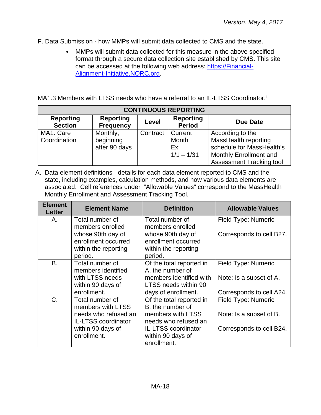- F. Data Submission how MMPs will submit data collected to CMS and the state.
	- $\bullet$ MMPs will submit data collected for this measure in the above specified format through a secure data collection site established by CMS. This site can be accessed at the following web address: [https://Financial-](https://financial-alignment-initiative.norc.org/)[Alignment-Initiative.NORC.org.](https://financial-alignment-initiative.norc.org/)

MA1.3 Members with LTSS needs who have a referral to an IL-LTSS Coordinator.<sup>i</sup>

| <b>CONTINUOUS REPORTING</b>        |                                      |          |                                   |                                 |
|------------------------------------|--------------------------------------|----------|-----------------------------------|---------------------------------|
| <b>Reporting</b><br><b>Section</b> | <b>Reporting</b><br><b>Frequency</b> | Level    | <b>Reporting</b><br><b>Period</b> | <b>Due Date</b>                 |
| MA1. Care                          | Monthly,                             | Contract | Current                           | According to the                |
| Coordination                       | beginning                            |          | Month                             | MassHealth reporting            |
|                                    | after 90 days                        |          | Ex:                               | schedule for MassHealth's       |
|                                    |                                      |          | $1/1 - 1/31$                      | Monthly Enrollment and          |
|                                    |                                      |          |                                   | <b>Assessment Tracking tool</b> |

A. Data element definitions - details for each data element reported to CMS and the state, including examples, calculation methods, and how various data elements are associated. Cell references under "Allowable Values" correspond to the MassHealth Monthly Enrollment and Assessment Tracking Tool.

| <b>Element</b><br><b>Letter</b> | <b>Element Name</b>                      | <b>Definition</b>                        | <b>Allowable Values</b>  |
|---------------------------------|------------------------------------------|------------------------------------------|--------------------------|
| Α.                              | Total number of                          | Total number of                          | Field Type: Numeric      |
|                                 | members enrolled                         | members enrolled                         |                          |
|                                 | whose 90th day of<br>enrollment occurred | whose 90th day of<br>enrollment occurred | Corresponds to cell B27. |
|                                 | within the reporting                     | within the reporting                     |                          |
|                                 | period.                                  | period.                                  |                          |
| <b>B.</b>                       | Total number of                          | Of the total reported in                 | Field Type: Numeric      |
|                                 | members identified                       | A, the number of                         |                          |
|                                 | with LTSS needs                          | members identified with                  | Note: Is a subset of A.  |
|                                 | within 90 days of                        | LTSS needs within 90                     |                          |
|                                 | enrollment.                              | days of enrollment.                      | Corresponds to cell A24. |
| C.                              | Total number of                          | Of the total reported in                 | Field Type: Numeric      |
|                                 | members with LTSS                        | B, the number of                         |                          |
|                                 | needs who refused an                     | members with LTSS                        | Note: Is a subset of B.  |
|                                 | <b>IL-LTSS coordinator</b>               | needs who refused an                     |                          |
|                                 | within 90 days of                        | <b>IL-LTSS</b> coordinator               | Corresponds to cell B24. |
|                                 | enrollment.                              | within 90 days of                        |                          |
|                                 |                                          | enrollment.                              |                          |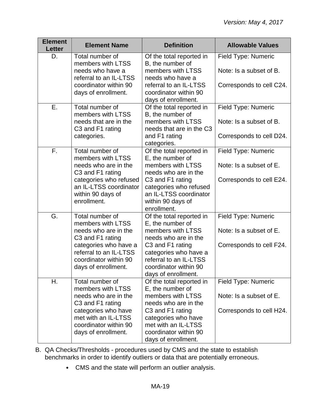| <b>Element</b><br><b>Letter</b> | <b>Element Name</b>                                                                                                                | <b>Definition</b>                                                                                                                        | <b>Allowable Values</b>                                                    |
|---------------------------------|------------------------------------------------------------------------------------------------------------------------------------|------------------------------------------------------------------------------------------------------------------------------------------|----------------------------------------------------------------------------|
| D.                              | Total number of<br>members with LTSS<br>needs who have a<br>referral to an IL-LTSS<br>coordinator within 90<br>days of enrollment. | Of the total reported in<br>B, the number of<br>members with LTSS<br>needs who have a<br>referral to an IL-LTSS<br>coordinator within 90 | Field Type: Numeric<br>Note: Is a subset of B.<br>Corresponds to cell C24. |
|                                 |                                                                                                                                    | days of enrollment.                                                                                                                      |                                                                            |
| Ε.                              | Total number of<br>members with LTSS<br>needs that are in the<br>C3 and F1 rating                                                  | Of the total reported in<br>B, the number of<br>members with LTSS<br>needs that are in the C3                                            | Field Type: Numeric<br>Note: Is a subset of B.                             |
|                                 | categories.                                                                                                                        | and F1 rating<br>categories.                                                                                                             | Corresponds to cell D24.                                                   |
| F.                              | Total number of<br>members with LTSS<br>needs who are in the<br>C3 and F1 rating                                                   | Of the total reported in<br>E, the number of<br>members with LTSS<br>needs who are in the                                                | Field Type: Numeric<br>Note: Is a subset of E.                             |
|                                 | categories who refused<br>an IL-LTSS coordinator<br>within 90 days of<br>enrollment.                                               | C3 and F1 rating<br>categories who refused<br>an IL-LTSS coordinator<br>within 90 days of<br>enrollment.                                 | Corresponds to cell E24.                                                   |
| G.                              | Total number of<br>members with LTSS<br>needs who are in the<br>C3 and F1 rating                                                   | Of the total reported in<br>E, the number of<br>members with LTSS<br>needs who are in the                                                | Field Type: Numeric<br>Note: Is a subset of E.                             |
|                                 | categories who have a<br>referral to an IL-LTSS<br>coordinator within 90<br>days of enrollment.                                    | C3 and F1 rating<br>categories who have a<br>referral to an IL-LTSS<br>coordinator within 90<br>days of enrollment.                      | Corresponds to cell F24.                                                   |
| Η.                              | Total number of<br>members with LTSS<br>needs who are in the                                                                       | Of the total reported in<br>E, the number of<br>members with LTSS<br>needs who are in the                                                | Field Type: Numeric<br>Note: Is a subset of E.                             |
|                                 | C3 and F1 rating<br>categories who have<br>met with an IL-LTSS<br>coordinator within 90<br>days of enrollment.                     | C3 and F1 rating<br>categories who have<br>met with an IL-LTSS<br>coordinator within 90<br>days of enrollment.                           | Corresponds to cell H24.                                                   |

- B. QA Checks/Thresholds procedures used by CMS and the state to establish benchmarks in order to identify outliers or data that are potentially erroneous.
	- CMS and the state will perform an outlier analysis.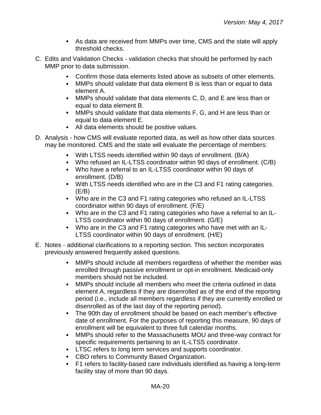- As data are received from MMPs over time, CMS and the state will apply threshold checks.
- C. Edits and Validation Checks validation checks that should be performed by each MMP prior to data submission.
	- Confirm those data elements listed above as subsets of other elements.  $\bullet$
	- MMPs should validate that data element B is less than or equal to data element A.
	- MMPs should validate that data elements C, D, and E are less than or equal to data element B.
	- MMPs should validate that data elements F, G, and H are less than or equal to data element E.
	- All data elements should be positive values.
- D. Analysis how CMS will evaluate reported data, as well as how other data sources may be monitored. CMS and the state will evaluate the percentage of members:
	- With LTSS needs identified within 90 days of enrollment. (B/A)
	- Who refused an IL-LTSS coordinator within 90 days of enrollment. (C/B)
	- Who have a referral to an IL-LTSS coordinator within 90 days of enrollment. (D/B)
	- With LTSS needs identified who are in the C3 and F1 rating categories.  $(E/B)$
	- Who are in the C3 and F1 rating categories who refused an IL-LTSS coordinator within 90 days of enrollment. (F/E)
	- Who are in the C3 and F1 rating categories who have a referral to an IL-LTSS coordinator within 90 days of enrollment. (G/E)
	- Who are in the C3 and F1 rating categories who have met with an IL-LTSS coordinator within 90 days of enrollment. (H/E)
- E. Notes additional clarifications to a reporting section. This section incorporates previously answered frequently asked questions.
	- $\bullet$ MMPs should include all members regardless of whether the member was enrolled through passive enrollment or opt-in enrollment. Medicaid-only members should not be included.
	- MMPs should include all members who meet the criteria outlined in data  $\bullet$ element A, regardless if they are disenrolled as of the end of the reporting period (i.e., include all members regardless if they are currently enrolled or disenrolled as of the last day of the reporting period).
	- The 90th day of enrollment should be based on each member's effective date of enrollment. For the purposes of reporting this measure, 90 days of enrollment will be equivalent to three full calendar months.
	- $\bullet$ MMPs should refer to the Massachusetts MOU and three-way contract for specific requirements pertaining to an IL-LTSS coordinator.
	- LTSC refers to long term services and supports coordinator.
	- CBO refers to Community Based Organization.
	- F1 refers to facility-based care individuals identified as having a long-term facility stay of more than 90 days.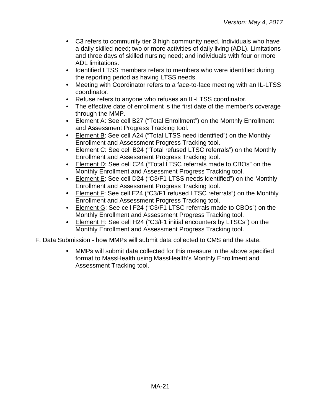- C3 refers to community tier 3 high community need. Individuals who have a daily skilled need; two or more activities of daily living (ADL). Limitations and three days of skilled nursing need; and individuals with four or more ADL limitations.
- Identified LTSS members refers to members who were identified during the reporting period as having LTSS needs.
- $\bullet$ Meeting with Coordinator refers to a face-to-face meeting with an IL-LTSS coordinator.
- Refuse refers to anyone who refuses an IL-LTSS coordinator.
- The effective date of enrollment is the first date of the member's coverage through the MMP.
- Element A: See cell B27 ("Total Enrollment") on the Monthly Enrollment and Assessment Progress Tracking tool.
- Element B: See cell A24 ("Total LTSS need identified") on the Monthly Enrollment and Assessment Progress Tracking tool.
- Element C: See cell B24 ("Total refused LTSC referrals") on the Monthly Enrollment and Assessment Progress Tracking tool.
- Element D: See cell C24 ("Total LTSC referrals made to CBOs" on the  $\bullet$ Monthly Enrollment and Assessment Progress Tracking tool.
- Element E: See cell D24 ("C3/F1 LTSS needs identified") on the Monthly Enrollment and Assessment Progress Tracking tool.
- Element F: See cell E24 ("C3/F1 refused LTSC referrals") on the Monthly Enrollment and Assessment Progress Tracking tool.
- Element G: See cell F24 ("C3/F1 LTSC referrals made to CBOs") on the Monthly Enrollment and Assessment Progress Tracking tool.
- Element H: See cell H24 ("C3/F1 initial encounters by LTSCs") on the  $\bullet$ Monthly Enrollment and Assessment Progress Tracking tool.
- F. Data Submission how MMPs will submit data collected to CMS and the state.
	- MMPs will submit data collected for this measure in the above specified  $\bullet$ format to MassHealth using MassHealth's Monthly Enrollment and Assessment Tracking tool.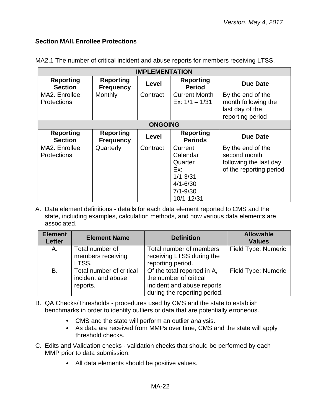## <span id="page-21-0"></span>**Section MAII.Enrollee Protections**

| <b>IMPLEMENTATION</b>               |                                      |                |                                                                                                     |                                                                                        |
|-------------------------------------|--------------------------------------|----------------|-----------------------------------------------------------------------------------------------------|----------------------------------------------------------------------------------------|
| <b>Reporting</b><br><b>Section</b>  | <b>Reporting</b><br><b>Frequency</b> | Level          | <b>Reporting</b><br><b>Period</b>                                                                   | Due Date                                                                               |
| MA2. Enrollee<br><b>Protections</b> | Monthly                              | Contract       | <b>Current Month</b><br>Ex: $1/1 - 1/31$                                                            | By the end of the<br>month following the<br>last day of the<br>reporting period        |
|                                     |                                      | <b>ONGOING</b> |                                                                                                     |                                                                                        |
| <b>Reporting</b><br><b>Section</b>  | <b>Reporting</b><br><b>Frequency</b> | Level          | <b>Reporting</b><br><b>Periods</b>                                                                  | <b>Due Date</b>                                                                        |
| MA2. Enrollee<br><b>Protections</b> | Quarterly                            | Contract       | Current<br>Calendar<br>Quarter<br>Ex:<br>$1/1 - 3/31$<br>$4/1 - 6/30$<br>$7/1 - 9/30$<br>10/1-12/31 | By the end of the<br>second month<br>following the last day<br>of the reporting period |

MA2.1 The number of critical incident and abuse reports for members receiving LTSS.

A. Data element definitions - details for each data element reported to CMS and the state, including examples, calculation methods, and how various data elements are associated.

| <b>Element</b><br><b>Letter</b> | <b>Element Name</b>                                        | <b>Definition</b>                                                                                                   | <b>Allowable</b><br><b>Values</b> |
|---------------------------------|------------------------------------------------------------|---------------------------------------------------------------------------------------------------------------------|-----------------------------------|
| A.                              | Total number of<br>members receiving<br>LTSS.              | Total number of members<br>receiving LTSS during the<br>reporting period.                                           | Field Type: Numeric               |
| <b>B.</b>                       | Total number of critical<br>incident and abuse<br>reports. | Of the total reported in A,<br>the number of critical<br>incident and abuse reports<br>during the reporting period. | Field Type: Numeric               |

- B. QA Checks/Thresholds procedures used by CMS and the state to establish benchmarks in order to identify outliers or data that are potentially erroneous.
	- CMS and the state will perform an outlier analysis.
	- As data are received from MMPs over time, CMS and the state will apply threshold checks.
- C. Edits and Validation checks validation checks that should be performed by each MMP prior to data submission.
	- All data elements should be positive values.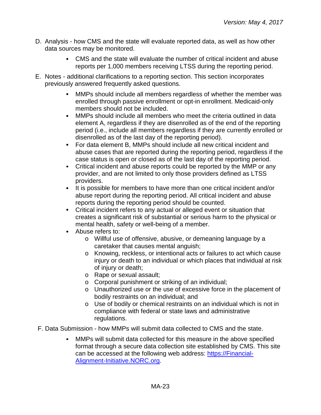- D. Analysis how CMS and the state will evaluate reported data, as well as how other data sources may be monitored.
	- CMS and the state will evaluate the number of critical incident and abuse reports per 1,000 members receiving LTSS during the reporting period.
- E. Notes additional clarifications to a reporting section. This section incorporates previously answered frequently asked questions.
	- MMPs should include all members regardless of whether the member was enrolled through passive enrollment or opt-in enrollment. Medicaid-only members should not be included.
	- $\bullet$ MMPs should include all members who meet the criteria outlined in data element A, regardless if they are disenrolled as of the end of the reporting period (i.e., include all members regardless if they are currently enrolled or disenrolled as of the last day of the reporting period).
	- For data element B, MMPs should include all new critical incident and  $\bullet$ abuse cases that are reported during the reporting period, regardless if the case status is open or closed as of the last day of the reporting period.
	- Critical incident and abuse reports could be reported by the MMP or any  $\bullet$ provider, and are not limited to only those providers defined as LTSS providers.
	- It is possible for members to have more than one critical incident and/or abuse report during the reporting period. All critical incident and abuse reports during the reporting period should be counted.
	- Critical incident refers to any actual or alleged event or situation that creates a significant risk of substantial or serious harm to the physical or mental health, safety or well-being of a member.
	- Abuse refers to:
		- o Willful use of offensive, abusive, or demeaning language by a caretaker that causes mental anguish;
		- o Knowing, reckless, or intentional acts or failures to act which cause injury or death to an individual or which places that individual at risk of injury or death;
		- o Rape or sexual assault;
		- o Corporal punishment or striking of an individual;
		- o Unauthorized use or the use of excessive force in the placement of bodily restraints on an individual; and
		- o Use of bodily or chemical restraints on an individual which is not in compliance with federal or state laws and administrative regulations.
- F. Data Submission how MMPs will submit data collected to CMS and the state.
	- MMPs will submit data collected for this measure in the above specified format through a secure data collection site established by CMS. This site can be accessed at the following web address: [https://Financial-](https://financial-alignment-initiative.norc.org/)[Alignment-Initiative.NORC.org.](https://financial-alignment-initiative.norc.org/)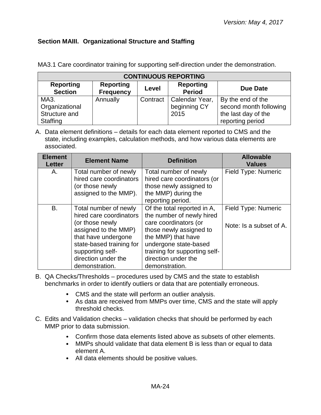## <span id="page-23-0"></span>**Section MAIII. Organizational Structure and Staffing**

|  |  |  | MA3.1 Care coordinator training for supporting self-direction under the demonstration. |  |
|--|--|--|----------------------------------------------------------------------------------------|--|
|  |  |  |                                                                                        |  |

| <b>CONTINUOUS REPORTING</b>        |                                      |          |                                   |                        |  |
|------------------------------------|--------------------------------------|----------|-----------------------------------|------------------------|--|
| <b>Reporting</b><br><b>Section</b> | <b>Reporting</b><br><b>Frequency</b> | Level    | <b>Reporting</b><br><b>Period</b> | <b>Due Date</b>        |  |
| MA3.                               | Annually                             | Contract | Calendar Year,                    | By the end of the      |  |
| Organizational                     |                                      |          | beginning CY                      | second month following |  |
| Structure and                      |                                      |          | 2015                              | the last day of the    |  |
| Staffing                           |                                      |          |                                   | reporting period       |  |

A. Data element definitions – details for each data element reported to CMS and the state, including examples, calculation methods, and how various data elements are associated.

| <b>Element</b><br><b>Letter</b> | <b>Element Name</b>                                                                                                                                                                                         | <b>Definition</b>                                                                                                                                                                                                                     | <b>Allowable</b><br><b>Values</b>              |
|---------------------------------|-------------------------------------------------------------------------------------------------------------------------------------------------------------------------------------------------------------|---------------------------------------------------------------------------------------------------------------------------------------------------------------------------------------------------------------------------------------|------------------------------------------------|
| Α.                              | Total number of newly<br>hired care coordinators<br>(or those newly<br>assigned to the MMP).                                                                                                                | Total number of newly<br>hired care coordinators (or<br>those newly assigned to<br>the MMP) during the<br>reporting period.                                                                                                           | <b>Field Type: Numeric</b>                     |
| <b>B.</b>                       | Total number of newly<br>hired care coordinators<br>(or those newly<br>assigned to the MMP)<br>that have undergone<br>state-based training for<br>supporting self-<br>direction under the<br>demonstration. | Of the total reported in A,<br>the number of newly hired<br>care coordinators (or<br>those newly assigned to<br>the MMP) that have<br>undergone state-based<br>training for supporting self-<br>direction under the<br>demonstration. | Field Type: Numeric<br>Note: Is a subset of A. |

- B. QA Checks/Thresholds procedures used by CMS and the state to establish benchmarks in order to identify outliers or data that are potentially erroneous.
	- CMS and the state will perform an outlier analysis.
	- As data are received from MMPs over time, CMS and the state will apply threshold checks.
- C. Edits and Validation checks validation checks that should be performed by each MMP prior to data submission.
	- Confirm those data elements listed above as subsets of other elements.
	- MMPs should validate that data element B is less than or equal to data element A.
	- All data elements should be positive values.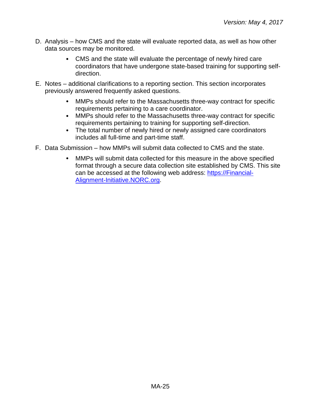- D. Analysis how CMS and the state will evaluate reported data, as well as how other data sources may be monitored.
	- CMS and the state will evaluate the percentage of newly hired care coordinators that have undergone state-based training for supporting selfdirection.
- E. Notes additional clarifications to a reporting section. This section incorporates previously answered frequently asked questions.
	- MMPs should refer to the Massachusetts three-way contract for specific  $\bullet$ requirements pertaining to a care coordinator.
	- MMPs should refer to the Massachusetts three-way contract for specific requirements pertaining to training for supporting self-direction.
	- The total number of newly hired or newly assigned care coordinators includes all full-time and part-time staff.
- F. Data Submission how MMPs will submit data collected to CMS and the state.
	- MMPs will submit data collected for this measure in the above specified  $\bullet$ format through a secure data collection site established by CMS. This site can be accessed at the following web address: [https://Financial-](https://financial-alignment-initiative.norc.org/)[Alignment-Initiative.NORC.org.](https://financial-alignment-initiative.norc.org/)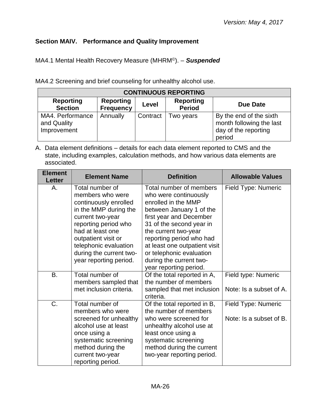# <span id="page-25-0"></span>**Section MAIV. Performance and Quality Improvement**

MA4.1 Mental Health Recovery Measure (MHRM©). – *Suspended*

MA4.2 Screening and brief counseling for unhealthy alcohol use.

| <b>CONTINUOUS REPORTING</b>                    |                                      |          |                                   |                                                                                       |  |
|------------------------------------------------|--------------------------------------|----------|-----------------------------------|---------------------------------------------------------------------------------------|--|
| <b>Reporting</b><br><b>Section</b>             | <b>Reporting</b><br><b>Frequency</b> | Level    | <b>Reporting</b><br><b>Period</b> | Due Date                                                                              |  |
| MA4. Performance<br>and Quality<br>Improvement | Annually                             | Contract | Two years                         | By the end of the sixth<br>month following the last<br>day of the reporting<br>period |  |

A. Data element definitions – details for each data element reported to CMS and the state, including examples, calculation methods, and how various data elements are associated.

| <b>Element</b><br>Letter | <b>Element Name</b>                                                                                                                                                                                                                                        | <b>Definition</b>                                                                                                                                                                                                                                                                                                                | <b>Allowable Values</b>                        |
|--------------------------|------------------------------------------------------------------------------------------------------------------------------------------------------------------------------------------------------------------------------------------------------------|----------------------------------------------------------------------------------------------------------------------------------------------------------------------------------------------------------------------------------------------------------------------------------------------------------------------------------|------------------------------------------------|
| Α.                       | Total number of<br>members who were<br>continuously enrolled<br>in the MMP during the<br>current two-year<br>reporting period who<br>had at least one<br>outpatient visit or<br>telephonic evaluation<br>during the current two-<br>year reporting period. | Total number of members<br>who were continuously<br>enrolled in the MMP<br>between January 1 of the<br>first year and December<br>31 of the second year in<br>the current two-year<br>reporting period who had<br>at least one outpatient visit<br>or telephonic evaluation<br>during the current two-<br>year reporting period. | Field Type: Numeric                            |
| B.                       | Total number of<br>members sampled that<br>met inclusion criteria.                                                                                                                                                                                         | Of the total reported in A,<br>the number of members<br>sampled that met inclusion<br>criteria.                                                                                                                                                                                                                                  | Field type: Numeric<br>Note: Is a subset of A. |
| C.                       | Total number of<br>members who were<br>screened for unhealthy<br>alcohol use at least<br>once using a<br>systematic screening<br>method during the<br>current two-year<br>reporting period.                                                                | Of the total reported in B,<br>the number of members<br>who were screened for<br>unhealthy alcohol use at<br>least once using a<br>systematic screening<br>method during the current<br>two-year reporting period.                                                                                                               | Field Type: Numeric<br>Note: Is a subset of B. |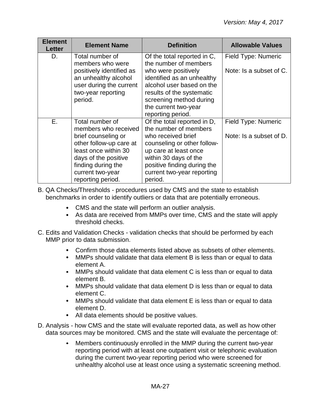| <b>Element</b><br><b>Letter</b> | <b>Element Name</b>                           | <b>Definition</b>                                      | <b>Allowable Values</b> |
|---------------------------------|-----------------------------------------------|--------------------------------------------------------|-------------------------|
| D.                              | Total number of                               | Of the total reported in C,                            | Field Type: Numeric     |
|                                 | members who were<br>positively identified as  | the number of members<br>who were positively           | Note: Is a subset of C. |
|                                 | an unhealthy alcohol                          | identified as an unhealthy                             |                         |
|                                 | user during the current<br>two-year reporting | alcohol user based on the<br>results of the systematic |                         |
|                                 | period.                                       | screening method during                                |                         |
|                                 |                                               | the current two-year                                   |                         |
|                                 |                                               | reporting period.                                      |                         |
| Ε.                              | Total number of                               | Of the total reported in D,                            | Field Type: Numeric     |
|                                 | members who received                          | the number of members                                  |                         |
|                                 | brief counseling or                           | who received brief                                     | Note: Is a subset of D. |
|                                 | other follow-up care at                       | counseling or other follow-                            |                         |
|                                 | least once within 30                          | up care at least once                                  |                         |
|                                 | days of the positive                          | within 30 days of the                                  |                         |
|                                 | finding during the                            | positive finding during the                            |                         |
|                                 | current two-year                              | current two-year reporting                             |                         |
|                                 | reporting period.                             | period.                                                |                         |

- B. QA Checks/Thresholds procedures used by CMS and the state to establish benchmarks in order to identify outliers or data that are potentially erroneous.
	- CMS and the state will perform an outlier analysis.
	- As data are received from MMPs over time, CMS and the state will apply threshold checks.
- C. Edits and Validation Checks validation checks that should be performed by each MMP prior to data submission.
	- Confirm those data elements listed above as subsets of other elements.
	- MMPs should validate that data element B is less than or equal to data element A.
	- MMPs should validate that data element C is less than or equal to data element B.
	- MMPs should validate that data element D is less than or equal to data element C.
	- MMPs should validate that data element E is less than or equal to data element D.
	- All data elements should be positive values.
- D. Analysis how CMS and the state will evaluate reported data, as well as how other data sources may be monitored. CMS and the state will evaluate the percentage of:
	- Members continuously enrolled in the MMP during the current two-year  $\bullet$ reporting period with at least one outpatient visit or telephonic evaluation during the current two-year reporting period who were screened for unhealthy alcohol use at least once using a systematic screening method.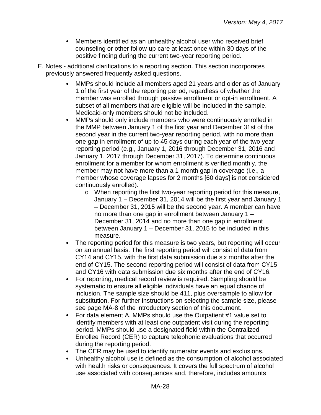- $\bullet$ Members identified as an unhealthy alcohol user who received brief counseling or other follow-up care at least once within 30 days of the positive finding during the current two-year reporting period.
- E. Notes additional clarifications to a reporting section. This section incorporates previously answered frequently asked questions.
	- MMPs should include all members aged 21 years and older as of January 1 of the first year of the reporting period, regardless of whether the member was enrolled through passive enrollment or opt-in enrollment. A subset of all members that are eligible will be included in the sample. Medicaid-only members should not be included.
	- $\bullet$ MMPs should only include members who were continuously enrolled in the MMP between January 1 of the first year and December 31st of the second year in the current two-year reporting period, with no more than one gap in enrollment of up to 45 days during each year of the two year reporting period (e.g., January 1, 2016 through December 31, 2016 and January 1, 2017 through December 31, 2017). To determine continuous enrollment for a member for whom enrollment is verified monthly, the member may not have more than a 1-month gap in coverage (i.e., a member whose coverage lapses for 2 months [60 days] is not considered continuously enrolled).
		- o When reporting the first two-year reporting period for this measure, January 1 – December 31, 2014 will be the first year and January 1 – December 31, 2015 will be the second year. A member can have no more than one gap in enrollment between January 1 – December 31, 2014 and no more than one gap in enrollment between January 1 – December 31, 2015 to be included in this measure.
	- The reporting period for this measure is two years, but reporting will occur  $\bullet$ on an annual basis. The first reporting period will consist of data from CY14 and CY15, with the first data submission due six months after the end of CY15. The second reporting period will consist of data from CY15 and CY16 with data submission due six months after the end of CY16.
	- For reporting, medical record review is required. Sampling should be systematic to ensure all eligible individuals have an equal chance of inclusion. The sample size should be 411, plus oversample to allow for substitution. For further instructions on selecting the sample size, please see page MA-8 of the introductory section of this document.
	- $\bullet$ For data element A, MMPs should use the Outpatient #1 value set to identify members with at least one outpatient visit during the reporting period. MMPs should use a designated field within the Centralized Enrollee Record (CER) to capture telephonic evaluations that occurred during the reporting period.
	- The CER may be used to identify numerator events and exclusions.
	- Unhealthy alcohol use is defined as the consumption of alcohol associated with health risks or consequences. It covers the full spectrum of alcohol use associated with consequences and, therefore, includes amounts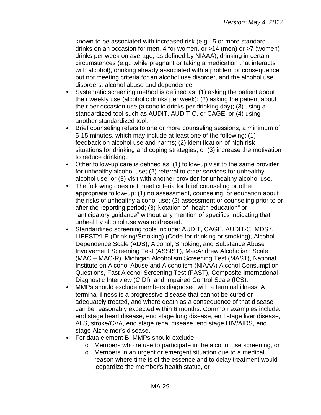known to be associated with increased risk (e.g., 5 or more standard drinks on an occasion for men, 4 for women, or >14 (men) or >7 (women) drinks per week on average, as defined by NIAAA), drinking in certain circumstances (e.g., while pregnant or taking a medication that interacts with alcohol), drinking already associated with a problem or consequence but not meeting criteria for an alcohol use disorder, and the alcohol use disorders, alcohol abuse and dependence.

- $\bullet$ Systematic screening method is defined as: (1) asking the patient about their weekly use (alcoholic drinks per week); (2) asking the patient about their per occasion use (alcoholic drinks per drinking day); (3) using a standardized tool such as AUDIT, AUDIT-C, or CAGE; or (4) using another standardized tool.
- $\bullet$ Brief counseling refers to one or more counseling sessions, a minimum of 5-15 minutes, which may include at least one of the following: (1) feedback on alcohol use and harms; (2) identification of high risk situations for drinking and coping strategies; or (3) increase the motivation to reduce drinking.
- $\bullet$ Other follow-up care is defined as: (1) follow-up visit to the same provider for unhealthy alcohol use; (2) referral to other services for unhealthy alcohol use; or (3) visit with another provider for unhealthy alcohol use.
- $\bullet$ The following does not meet criteria for brief counseling or other appropriate follow-up: (1) no assessment, counseling, or education about the risks of unhealthy alcohol use; (2) assessment or counseling prior to or after the reporting period; (3) Notation of "health education" or "anticipatory guidance" without any mention of specifics indicating that unhealthy alcohol use was addressed.
- Standardized screening tools include: AUDIT, CAGE, AUDIT-C, MDS7,  $\bullet$ LIFESTYLE (Drinking/Smoking) (Code for drinking or smoking), Alcohol Dependence Scale (ADS), Alcohol, Smoking, and Substance Abuse Involvement Screening Test (ASSIST), MacAndrew Alcoholism Scale (MAC – MAC-R), Michigan Alcoholism Screening Test (MAST), National Institute on Alcohol Abuse and Alcoholism (NIAAA) Alcohol Consumption Questions, Fast Alcohol Screening Test (FAST), Composite International Diagnostic Interview (CIDI), and Impaired Control Scale (ICS).
- $\bullet$ MMPs should exclude members diagnosed with a terminal illness. A terminal illness is a progressive disease that cannot be cured or adequately treated, and where death as a consequence of that disease can be reasonably expected within 6 months. Common examples include: end stage heart disease, end stage lung disease, end stage liver disease, ALS, stroke/CVA, end stage renal disease, end stage HIV/AIDS, end stage Alzheimer's disease.
- For data element B, MMPs should exclude:  $\bullet$ 
	- o Members who refuse to participate in the alcohol use screening, or
	- o Members in an urgent or emergent situation due to a medical reason where time is of the essence and to delay treatment would jeopardize the member's health status, or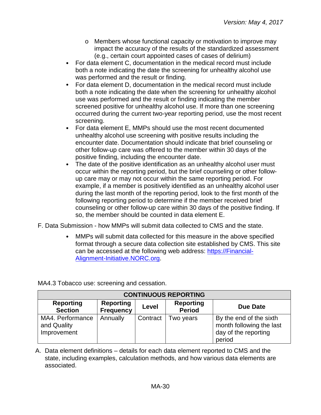- o Members whose functional capacity or motivation to improve may impact the accuracy of the results of the standardized assessment (e.g., certain court appointed cases of cases of delirium)
- For data element C, documentation in the medical record must include both a note indicating the date the screening for unhealthy alcohol use was performed and the result or finding.
- For data element D, documentation in the medical record must include  $\bullet$ both a note indicating the date when the screening for unhealthy alcohol use was performed and the result or finding indicating the member screened positive for unhealthy alcohol use. If more than one screening occurred during the current two-year reporting period, use the most recent screening.
- For data element E, MMPs should use the most recent documented  $\bullet$ unhealthy alcohol use screening with positive results including the encounter date. Documentation should indicate that brief counseling or other follow-up care was offered to the member within 30 days of the positive finding, including the encounter date.
- The date of the positive identification as an unhealthy alcohol user must occur within the reporting period, but the brief counseling or other followup care may or may not occur within the same reporting period. For example, if a member is positively identified as an unhealthy alcohol user during the last month of the reporting period, look to the first month of the following reporting period to determine if the member received brief counseling or other follow-up care within 30 days of the positive finding. If so, the member should be counted in data element E.
- F. Data Submission how MMPs will submit data collected to CMS and the state.
	- MMPs will submit data collected for this measure in the above specified format through a secure data collection site established by CMS. This site can be accessed at the following web address: [https://Financial-](https://financial-alignment-initiative.norc.org/)[Alignment-Initiative.NORC.org.](https://financial-alignment-initiative.norc.org/)

| <b>CONTINUOUS REPORTING</b>                    |                                      |          |                                   |                                                                                       |  |
|------------------------------------------------|--------------------------------------|----------|-----------------------------------|---------------------------------------------------------------------------------------|--|
| <b>Reporting</b><br><b>Section</b>             | <b>Reporting</b><br><b>Frequency</b> | Level    | <b>Reporting</b><br><b>Period</b> | Due Date                                                                              |  |
| MA4. Performance<br>and Quality<br>Improvement | Annually                             | Contract | Two years                         | By the end of the sixth<br>month following the last<br>day of the reporting<br>period |  |

MA4.3 Tobacco use: screening and cessation.

A. Data element definitions – details for each data element reported to CMS and the state, including examples, calculation methods, and how various data elements are associated.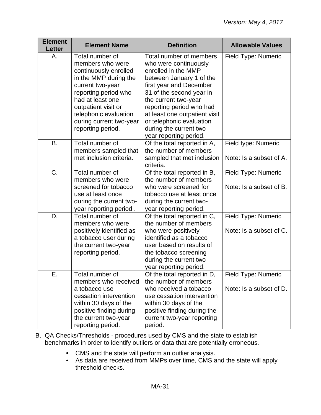| <b>Element</b><br><b>Letter</b> | <b>Element Name</b>                                                                                                                                                                                                                                   | <b>Definition</b>                                                                                                                                                                                                                                                                                                                | <b>Allowable Values</b>                        |
|---------------------------------|-------------------------------------------------------------------------------------------------------------------------------------------------------------------------------------------------------------------------------------------------------|----------------------------------------------------------------------------------------------------------------------------------------------------------------------------------------------------------------------------------------------------------------------------------------------------------------------------------|------------------------------------------------|
| А.                              | Total number of<br>members who were<br>continuously enrolled<br>in the MMP during the<br>current two-year<br>reporting period who<br>had at least one<br>outpatient visit or<br>telephonic evaluation<br>during current two-year<br>reporting period. | Total number of members<br>who were continuously<br>enrolled in the MMP<br>between January 1 of the<br>first year and December<br>31 of the second year in<br>the current two-year<br>reporting period who had<br>at least one outpatient visit<br>or telephonic evaluation<br>during the current two-<br>year reporting period. | Field Type: Numeric                            |
| <b>B.</b>                       | Total number of<br>members sampled that<br>met inclusion criteria.                                                                                                                                                                                    | Of the total reported in A,<br>the number of members<br>sampled that met inclusion<br>criteria.                                                                                                                                                                                                                                  | Field type: Numeric<br>Note: Is a subset of A. |
| C.                              | Total number of<br>members who were<br>screened for tobacco<br>use at least once<br>during the current two-<br>year reporting period.                                                                                                                 | Of the total reported in B,<br>the number of members<br>who were screened for<br>tobacco use at least once<br>during the current two-<br>year reporting period.                                                                                                                                                                  | Field Type: Numeric<br>Note: Is a subset of B. |
| D.                              | Total number of<br>members who were<br>positively identified as<br>a tobacco user during<br>the current two-year<br>reporting period.                                                                                                                 | Of the total reported in C,<br>the number of members<br>who were positively<br>identified as a tobacco<br>user based on results of<br>the tobacco screening<br>during the current two-<br>year reporting period.                                                                                                                 | Field Type: Numeric<br>Note: Is a subset of C. |
| Е.                              | Total number of<br>members who received<br>a tobacco use<br>cessation intervention<br>within 30 days of the<br>positive finding during<br>the current two-year<br>reporting period.                                                                   | Of the total reported in D,<br>the number of members<br>who received a tobacco<br>use cessation intervention<br>within 30 days of the<br>positive finding during the<br>current two-year reporting<br>period.                                                                                                                    | Field Type: Numeric<br>Note: Is a subset of D. |

- B. QA Checks/Thresholds procedures used by CMS and the state to establish benchmarks in order to identify outliers or data that are potentially erroneous.
	- CMS and the state will perform an outlier analysis.
	- As data are received from MMPs over time, CMS and the state will apply threshold checks.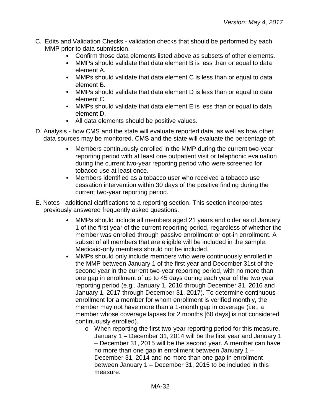- C. Edits and Validation Checks validation checks that should be performed by each MMP prior to data submission.
	- Confirm those data elements listed above as subsets of other elements.
	- $\bullet$ MMPs should validate that data element B is less than or equal to data element A.
	- MMPs should validate that data element C is less than or equal to data element B.
	- MMPs should validate that data element D is less than or equal to data element C.
	- MMPs should validate that data element E is less than or equal to data element D.
	- All data elements should be positive values.
- D. Analysis how CMS and the state will evaluate reported data, as well as how other data sources may be monitored. CMS and the state will evaluate the percentage of:
	- $\bullet$ Members continuously enrolled in the MMP during the current two-year reporting period with at least one outpatient visit or telephonic evaluation during the current two-year reporting period who were screened for tobacco use at least once.
	- Members identified as a tobacco user who received a tobacco use  $\bullet$ cessation intervention within 30 days of the positive finding during the current two-year reporting period.
- E. Notes additional clarifications to a reporting section. This section incorporates previously answered frequently asked questions.
	- MMPs should include all members aged 21 years and older as of January  $\bullet$ 1 of the first year of the current reporting period, regardless of whether the member was enrolled through passive enrollment or opt-in enrollment. A subset of all members that are eligible will be included in the sample. Medicaid-only members should not be included.
	- MMPs should only include members who were continuously enrolled in  $\bullet$ the MMP between January 1 of the first year and December 31st of the second year in the current two-year reporting period, with no more than one gap in enrollment of up to 45 days during each year of the two year reporting period (e.g., January 1, 2016 through December 31, 2016 and January 1, 2017 through December 31, 2017). To determine continuous enrollment for a member for whom enrollment is verified monthly, the member may not have more than a 1-month gap in coverage (i.e., a member whose coverage lapses for 2 months [60 days] is not considered continuously enrolled).
		- o When reporting the first two-year reporting period for this measure, January 1 – December 31, 2014 will be the first year and January 1 – December 31, 2015 will be the second year. A member can have no more than one gap in enrollment between January 1 – December 31, 2014 and no more than one gap in enrollment between January 1 – December 31, 2015 to be included in this measure.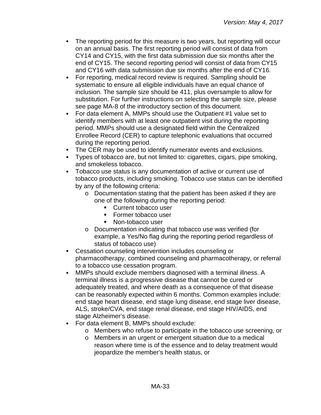- The reporting period for this measure is two years, but reporting will occur on an annual basis. The first reporting period will consist of data from CY14 and CY15, with the first data submission due six months after the end of CY15. The second reporting period will consist of data from CY15 and CY16 with data submission due six months after the end of CY16.
- For reporting, medical record review is required. Sampling should be  $\bullet$ systematic to ensure all eligible individuals have an equal chance of inclusion. The sample size should be 411, plus oversample to allow for substitution. For further instructions on selecting the sample size, please see page MA-8 of the introductory section of this document.
- For data element A, MMPs should use the Outpatient #1 value set to identify members with at least one outpatient visit during the reporting period. MMPs should use a designated field within the Centralized Enrollee Record (CER) to capture telephonic evaluations that occurred during the reporting period.
- The CER may be used to identify numerator events and exclusions.
- Types of tobacco are, but not limited to: cigarettes, cigars, pipe smoking, and smokeless tobacco.
- Tobacco use status is any documentation of active or current use of tobacco products, including smoking. Tobacco use status can be identified by any of the following criteria:
	- o Documentation stating that the patient has been asked if they are one of the following during the reporting period:
		- **Current tobacco user**
		- **Former tobacco user**
		- Non-tobacco user
	- o Documentation indicating that tobacco use was verified (for example, a Yes/No flag during the reporting period regardless of status of tobacco use)
- Cessation counseling intervention includes counseling or pharmacotherapy, combined counseling and pharmacotherapy, or referral to a tobacco use cessation program.
- $\bullet$ MMPs should exclude members diagnosed with a terminal illness. A terminal illness is a progressive disease that cannot be cured or adequately treated, and where death as a consequence of that disease can be reasonably expected within 6 months. Common examples include: end stage heart disease, end stage lung disease, end stage liver disease, ALS, stroke/CVA, end stage renal disease, end stage HIV/AIDS, end stage Alzheimer's disease.
- For data element B, MMPs should exclude:
	- o Members who refuse to participate in the tobacco use screening, or
	- o Members in an urgent or emergent situation due to a medical reason where time is of the essence and to delay treatment would jeopardize the member's health status, or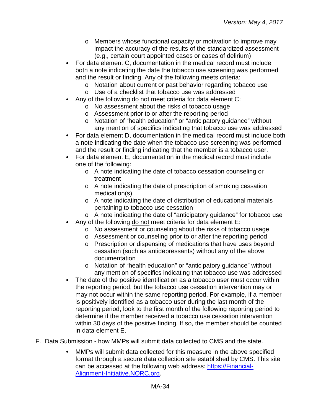- o Members whose functional capacity or motivation to improve may impact the accuracy of the results of the standardized assessment (e.g., certain court appointed cases or cases of delirium)
- For data element C, documentation in the medical record must include both a note indicating the date the tobacco use screening was performed and the result or finding. Any of the following meets criteria:
	- o Notation about current or past behavior regarding tobacco use
	- o Use of a checklist that tobacco use was addressed
- Any of the following do not meet criteria for data element C:
	- o No assessment about the risks of tobacco usage
	- o Assessment prior to or after the reporting period
	- o Notation of "health education" or "anticipatory guidance" without any mention of specifics indicating that tobacco use was addressed
- For data element D, documentation in the medical record must include both a note indicating the date when the tobacco use screening was performed and the result or finding indicating that the member is a tobacco user.
- For data element E, documentation in the medical record must include one of the following:
	- o A note indicating the date of tobacco cessation counseling or treatment
	- o A note indicating the date of prescription of smoking cessation medication(s)
	- o A note indicating the date of distribution of educational materials pertaining to tobacco use cessation
	- o A note indicating the date of "anticipatory guidance" for tobacco use
	- Any of the following do not meet criteria for data element E:
		- o No assessment or counseling about the risks of tobacco usage
		- o Assessment or counseling prior to or after the reporting period
		- o Prescription or dispensing of medications that have uses beyond cessation (such as antidepressants) without any of the above documentation
		- o Notation of "health education" or "anticipatory guidance" without any mention of specifics indicating that tobacco use was addressed
- $\bullet$ The date of the positive identification as a tobacco user must occur within the reporting period, but the tobacco use cessation intervention may or may not occur within the same reporting period. For example, if a member is positively identified as a tobacco user during the last month of the reporting period, look to the first month of the following reporting period to determine if the member received a tobacco use cessation intervention within 30 days of the positive finding. If so, the member should be counted in data element E.
- F. Data Submission how MMPs will submit data collected to CMS and the state.
	- MMPs will submit data collected for this measure in the above specified  $\bullet$ format through a secure data collection site established by CMS. This site can be accessed at the following web address: [https://Financial-](https://financial-alignment-initiative.norc.org/)[Alignment-Initiative.NORC.org.](https://financial-alignment-initiative.norc.org/)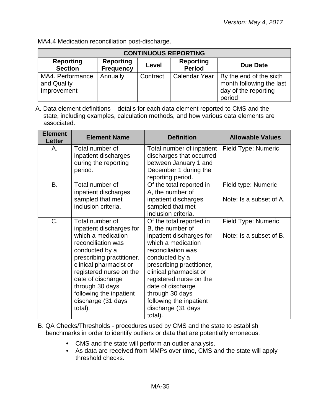| MA4.4 Medication reconciliation post-discharge. |  |
|-------------------------------------------------|--|
|-------------------------------------------------|--|

| <b>CONTINUOUS REPORTING</b>                    |                                      |          |                            |                                                                                       |  |
|------------------------------------------------|--------------------------------------|----------|----------------------------|---------------------------------------------------------------------------------------|--|
| <b>Reporting</b><br><b>Section</b>             | <b>Reporting</b><br><b>Frequency</b> | Level    | Reporting<br><b>Period</b> | Due Date                                                                              |  |
| MA4. Performance<br>and Quality<br>Improvement | Annually                             | Contract | <b>Calendar Year</b>       | By the end of the sixth<br>month following the last<br>day of the reporting<br>period |  |

A. Data element definitions – details for each data element reported to CMS and the state, including examples, calculation methods, and how various data elements are associated.

| <b>Element</b><br><b>Letter</b> | <b>Element Name</b>                                                                                                                                                                                                                                                                             | <b>Definition</b>                                                                                                                                                                                                                                                                                                            | <b>Allowable Values</b>                        |
|---------------------------------|-------------------------------------------------------------------------------------------------------------------------------------------------------------------------------------------------------------------------------------------------------------------------------------------------|------------------------------------------------------------------------------------------------------------------------------------------------------------------------------------------------------------------------------------------------------------------------------------------------------------------------------|------------------------------------------------|
| Α.                              | Total number of<br>inpatient discharges<br>during the reporting<br>period.                                                                                                                                                                                                                      | Total number of inpatient<br>discharges that occurred<br>between January 1 and<br>December 1 during the<br>reporting period.                                                                                                                                                                                                 | Field Type: Numeric                            |
| B.                              | Total number of<br>inpatient discharges<br>sampled that met<br>inclusion criteria.                                                                                                                                                                                                              | Of the total reported in<br>A, the number of<br>inpatient discharges<br>sampled that met<br>inclusion criteria.                                                                                                                                                                                                              | Field type: Numeric<br>Note: Is a subset of A. |
| C.                              | Total number of<br>inpatient discharges for<br>which a medication<br>reconciliation was<br>conducted by a<br>prescribing practitioner,<br>clinical pharmacist or<br>registered nurse on the<br>date of discharge<br>through 30 days<br>following the inpatient<br>discharge (31 days<br>total). | Of the total reported in<br>B, the number of<br>inpatient discharges for<br>which a medication<br>reconciliation was<br>conducted by a<br>prescribing practitioner,<br>clinical pharmacist or<br>registered nurse on the<br>date of discharge<br>through 30 days<br>following the inpatient<br>discharge (31 days<br>total). | Field Type: Numeric<br>Note: Is a subset of B. |

B. QA Checks/Thresholds - procedures used by CMS and the state to establish benchmarks in order to identify outliers or data that are potentially erroneous.

- CMS and the state will perform an outlier analysis.
- As data are received from MMPs over time, CMS and the state will apply threshold checks.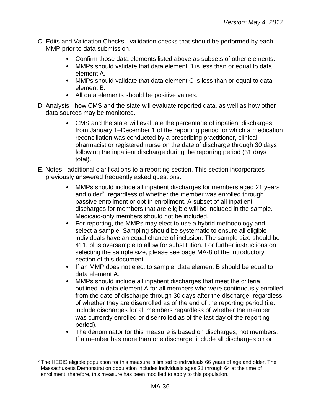- C. Edits and Validation Checks validation checks that should be performed by each MMP prior to data submission.
	- Confirm those data elements listed above as subsets of other elements.  $\bullet$
	- MMPs should validate that data element B is less than or equal to data element A.
	- MMPs should validate that data element C is less than or equal to data element B.
	- All data elements should be positive values.
- D. Analysis how CMS and the state will evaluate reported data, as well as how other data sources may be monitored.
	- $\bullet$ CMS and the state will evaluate the percentage of inpatient discharges from January 1–December 1 of the reporting period for which a medication reconciliation was conducted by a prescribing practitioner, clinical pharmacist or registered nurse on the date of discharge through 30 days following the inpatient discharge during the reporting period (31 days total).
- E. Notes additional clarifications to a reporting section. This section incorporates previously answered frequently asked questions.
	- $\bullet$ MMPs should include all inpatient discharges for members aged 21 years and older<sup>2</sup>, regardless of whether the member was enrolled through passive enrollment or opt-in enrollment. A subset of all inpatient discharges for members that are eligible will be included in the sample. Medicaid-only members should not be included.
	- For reporting, the MMPs may elect to use a hybrid methodology and  $\bullet$ select a sample. Sampling should be systematic to ensure all eligible individuals have an equal chance of inclusion. The sample size should be 411, plus oversample to allow for substitution. For further instructions on selecting the sample size, please see page MA-8 of the introductory section of this document.
	- If an MMP does not elect to sample, data element B should be equal to data element A.
	- $\bullet$ MMPs should include all inpatient discharges that meet the criteria outlined in data element A for all members who were continuously enrolled from the date of discharge through 30 days after the discharge, regardless of whether they are disenrolled as of the end of the reporting period (i.e., include discharges for all members regardless of whether the member was currently enrolled or disenrolled as of the last day of the reporting period).
	- The denominator for this measure is based on discharges, not members. If a member has more than one discharge, include all discharges on or

<span id="page-35-0"></span> $2$  The HEDIS eligible population for this measure is limited to individuals 66 years of age and older. The Massachusetts Demonstration population includes individuals ages 21 through 64 at the time of enrollment; therefore, this measure has been modified to apply to this population.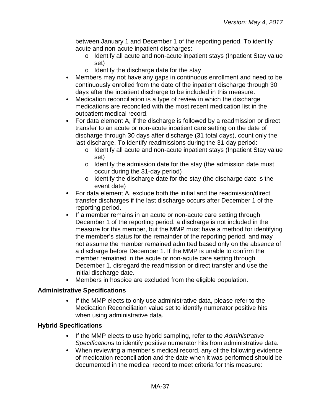between January 1 and December 1 of the reporting period. To identify acute and non-acute inpatient discharges:

- o Identify all acute and non-acute inpatient stays (Inpatient Stay value set)
- o Identify the discharge date for the stay
- Members may not have any gaps in continuous enrollment and need to be  $\bullet$ continuously enrolled from the date of the inpatient discharge through 30 days after the inpatient discharge to be included in this measure.
- Medication reconciliation is a type of review in which the discharge  $\bullet$ medications are reconciled with the most recent medication list in the outpatient medical record.
- $\bullet$ For data element A, if the discharge is followed by a readmission or direct transfer to an acute or non-acute inpatient care setting on the date of discharge through 30 days after discharge (31 total days), count only the last discharge. To identify readmissions during the 31-day period:
	- o Identify all acute and non-acute inpatient stays (Inpatient Stay value set)
	- o Identify the admission date for the stay (the admission date must occur during the 31-day period)
	- o Identify the discharge date for the stay (the discharge date is the event date)
- For data element A, exclude both the initial and the readmission/direct transfer discharges if the last discharge occurs after December 1 of the reporting period.
- $\bullet$ If a member remains in an acute or non-acute care setting through December 1 of the reporting period, a discharge is not included in the measure for this member, but the MMP must have a method for identifying the member's status for the remainder of the reporting period, and may not assume the member remained admitted based only on the absence of a discharge before December 1. If the MMP is unable to confirm the member remained in the acute or non-acute care setting through December 1, disregard the readmission or direct transfer and use the initial discharge date.
- Members in hospice are excluded from the eligible population.  $\bullet$

# **Administrative Specifications**

If the MMP elects to only use administrative data, please refer to the  $\bullet$ Medication Reconciliation value set to identify numerator positive hits when using administrative data.

# **Hybrid Specifications**

- If the MMP elects to use hybrid sampling, refer to the *Administrative Specifications* to identify positive numerator hits from administrative data.
- When reviewing a member's medical record, any of the following evidence of medication reconciliation and the date when it was performed should be documented in the medical record to meet criteria for this measure: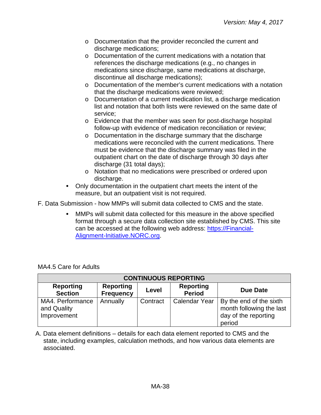- o Documentation that the provider reconciled the current and discharge medications;
- o Documentation of the current medications with a notation that references the discharge medications (e.g., no changes in medications since discharge, same medications at discharge, discontinue all discharge medications);
- o Documentation of the member's current medications with a notation that the discharge medications were reviewed;
- o Documentation of a current medication list, a discharge medication list and notation that both lists were reviewed on the same date of service;
- o Evidence that the member was seen for post-discharge hospital follow-up with evidence of medication reconciliation or review;
- o Documentation in the discharge summary that the discharge medications were reconciled with the current medications. There must be evidence that the discharge summary was filed in the outpatient chart on the date of discharge through 30 days after discharge (31 total days);
- o Notation that no medications were prescribed or ordered upon discharge.
- Only documentation in the outpatient chart meets the intent of the  $\bullet$ measure, but an outpatient visit is not required.

F. Data Submission - how MMPs will submit data collected to CMS and the state.

MMPs will submit data collected for this measure in the above specified format through a secure data collection site established by CMS. This site can be accessed at the following web address: [https://Financial-](https://financial-alignment-initiative.norc.org/)[Alignment-Initiative.NORC.org.](https://financial-alignment-initiative.norc.org/)

| <b>CONTINUOUS REPORTING</b>                    |                                      |          |                            |                                                                                       |  |  |
|------------------------------------------------|--------------------------------------|----------|----------------------------|---------------------------------------------------------------------------------------|--|--|
| <b>Reporting</b><br><b>Section</b>             | <b>Reporting</b><br><b>Frequency</b> | Level    | Reporting<br><b>Period</b> | Due Date                                                                              |  |  |
| MA4. Performance<br>and Quality<br>Improvement | Annually                             | Contract | <b>Calendar Year</b>       | By the end of the sixth<br>month following the last<br>day of the reporting<br>period |  |  |

MA4.5 Care for Adults

A. Data element definitions – details for each data element reported to CMS and the state, including examples, calculation methods, and how various data elements are associated.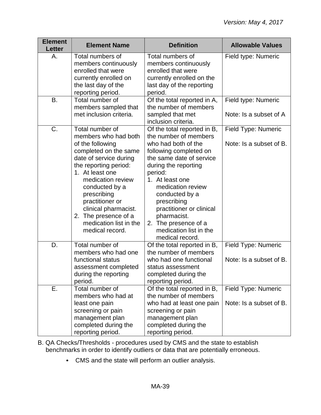| <b>Element</b><br><b>Letter</b> | <b>Element Name</b>                                                                                                                                                                                                                                                                                                              | <b>Definition</b>                                                                                                                                                                                                                                                                                                                                             | <b>Allowable Values</b>                        |
|---------------------------------|----------------------------------------------------------------------------------------------------------------------------------------------------------------------------------------------------------------------------------------------------------------------------------------------------------------------------------|---------------------------------------------------------------------------------------------------------------------------------------------------------------------------------------------------------------------------------------------------------------------------------------------------------------------------------------------------------------|------------------------------------------------|
| А.                              | Total numbers of<br>members continuously<br>enrolled that were<br>currently enrolled on<br>the last day of the<br>reporting period.                                                                                                                                                                                              | Total numbers of<br>members continuously<br>enrolled that were<br>currently enrolled on the<br>last day of the reporting<br>period.                                                                                                                                                                                                                           | Field type: Numeric                            |
| <b>B.</b>                       | Total number of<br>members sampled that<br>met inclusion criteria.                                                                                                                                                                                                                                                               | Of the total reported in A,<br>the number of members<br>sampled that met<br>inclusion criteria.                                                                                                                                                                                                                                                               | Field type: Numeric<br>Note: Is a subset of A  |
| C.                              | Total number of<br>members who had both<br>of the following<br>completed on the same<br>date of service during<br>the reporting period:<br>1. At least one<br>medication review<br>conducted by a<br>prescribing<br>practitioner or<br>clinical pharmacist.<br>2. The presence of a<br>medication list in the<br>medical record. | Of the total reported in B,<br>the number of members<br>who had both of the<br>following completed on<br>the same date of service<br>during the reporting<br>period:<br>1. At least one<br>medication review<br>conducted by a<br>prescribing<br>practitioner or clinical<br>pharmacist.<br>2. The presence of a<br>medication list in the<br>medical record. | Field Type: Numeric<br>Note: Is a subset of B. |
| D.                              | Total number of<br>members who had one<br>functional status<br>assessment completed<br>during the reporting<br>period.                                                                                                                                                                                                           | Of the total reported in B,<br>the number of members<br>who had one functional<br>status assessment<br>completed during the<br>reporting period.                                                                                                                                                                                                              | Field Type: Numeric<br>Note: Is a subset of B. |
| Ε.                              | Total number of<br>members who had at<br>least one pain<br>screening or pain<br>management plan<br>completed during the<br>reporting period.                                                                                                                                                                                     | Of the total reported in B,<br>the number of members<br>who had at least one pain<br>screening or pain<br>management plan<br>completed during the<br>reporting period.                                                                                                                                                                                        | Field Type: Numeric<br>Note: Is a subset of B. |

B. QA Checks/Thresholds - procedures used by CMS and the state to establish benchmarks in order to identify outliers or data that are potentially erroneous.

CMS and the state will perform an outlier analysis.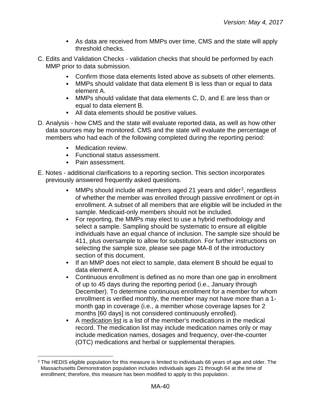- As data are received from MMPs over time, CMS and the state will apply threshold checks.
- C. Edits and Validation Checks validation checks that should be performed by each MMP prior to data submission.
	- Confirm those data elements listed above as subsets of other elements.  $\bullet$
	- MMPs should validate that data element B is less than or equal to data element A.
	- MMPs should validate that data elements C, D, and E are less than or equal to data element B.
	- All data elements should be positive values.
- D. Analysis how CMS and the state will evaluate reported data, as well as how other data sources may be monitored. CMS and the state will evaluate the percentage of members who had each of the following completed during the reporting period:
	- Medication review.
	- Functional status assessment.
	- Pain assessment.
- E. Notes additional clarifications to a reporting section. This section incorporates previously answered frequently asked questions.
	- MMPs should include all members aged 21 years and older $3$ , regardless  $\bullet$ of whether the member was enrolled through passive enrollment or opt-in enrollment. A subset of all members that are eligible will be included in the sample. Medicaid-only members should not be included.
	- $\bullet$ For reporting, the MMPs may elect to use a hybrid methodology and select a sample. Sampling should be systematic to ensure all eligible individuals have an equal chance of inclusion. The sample size should be 411, plus oversample to allow for substitution. For further instructions on selecting the sample size, please see page MA-8 of the introductory section of this document.
	- If an MMP does not elect to sample, data element B should be equal to data element A.
	- Continuous enrollment is defined as no more than one gap in enrollment  $\bullet$ of up to 45 days during the reporting period (i.e., January through December). To determine continuous enrollment for a member for whom enrollment is verified monthly, the member may not have more than a 1 month gap in coverage (i.e., a member whose coverage lapses for 2 months [60 days] is not considered continuously enrolled).
	- A medication list is a list of the member's medications in the medical  $\bullet$ record. The medication list may include medication names only or may include medication names, dosages and frequency, over-the-counter (OTC) medications and herbal or supplemental therapies.

<span id="page-39-0"></span><sup>&</sup>lt;sup>3</sup> The HEDIS eligible population for this measure is limited to individuals 66 years of age and older. The Massachusetts Demonstration population includes individuals ages 21 through 64 at the time of enrollment; therefore, this measure has been modified to apply to this population.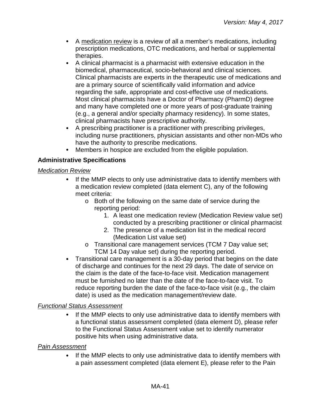- A medication review is a review of all a member's medications, including prescription medications, OTC medications, and herbal or supplemental therapies.
- $\bullet$ A clinical pharmacist is a pharmacist with extensive education in the biomedical, pharmaceutical, socio-behavioral and clinical sciences. Clinical pharmacists are experts in the therapeutic use of medications and are a primary source of scientifically valid information and advice regarding the safe, appropriate and cost-effective use of medications. Most clinical pharmacists have a Doctor of Pharmacy (PharmD) degree and many have completed one or more years of post-graduate training (e.g., a general and/or specialty pharmacy residency). In some states, clinical pharmacists have prescriptive authority.
- $\bullet$ A prescribing practitioner is a practitioner with prescribing privileges, including nurse practitioners, physician assistants and other non-MDs who have the authority to prescribe medications.
- $\bullet$ Members in hospice are excluded from the eligible population.

# **Administrative Specifications**

## *Medication Review*

- If the MMP elects to only use administrative data to identify members with  $\bullet$ a medication review completed (data element C), any of the following meet criteria:
	- o Both of the following on the same date of service during the reporting period:
		- 1. A least one medication review (Medication Review value set) conducted by a prescribing practitioner or clinical pharmacist
		- 2. The presence of a medication list in the medical record (Medication List value set)
	- o Transitional care management services (TCM 7 Day value set; TCM 14 Day value set) during the reporting period.
- $\bullet$ Transitional care management is a 30-day period that begins on the date of discharge and continues for the next 29 days. The date of service on the claim is the date of the face-to-face visit. Medication management must be furnished no later than the date of the face-to-face visit. To reduce reporting burden the date of the face-to-face visit (e.g., the claim date) is used as the medication management/review date.

# *Functional Status Assessment*

If the MMP elects to only use administrative data to identify members with a functional status assessment completed (data element D), please refer to the Functional Status Assessment value set to identify numerator positive hits when using administrative data.

## *Pain Assessment*

If the MMP elects to only use administrative data to identify members with a pain assessment completed (data element E), please refer to the Pain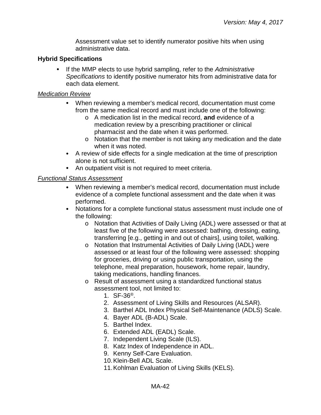Assessment value set to identify numerator positive hits when using administrative data.

#### **Hybrid Specifications**

If the MMP elects to use hybrid sampling, refer to the *Administrative Specifications* to identify positive numerator hits from administrative data for each data element.

#### *Medication Review*

- When reviewing a member's medical record, documentation must come from the same medical record and must include one of the following:
	- o A medication list in the medical record, **and** evidence of a medication review by a prescribing practitioner or clinical pharmacist and the date when it was performed.
	- o Notation that the member is not taking any medication and the date when it was noted.
- A review of side effects for a single medication at the time of prescription alone is not sufficient.
- An outpatient visit is not required to meet criteria.

## *Functional Status Assessment*

- $\bullet$ When reviewing a member's medical record, documentation must include evidence of a complete functional assessment and the date when it was performed.
- $\bullet$ Notations for a complete functional status assessment must include one of the following:
	- o Notation that Activities of Daily Living (ADL) were assessed or that at least five of the following were assessed: bathing, dressing, eating, transferring [e.g., getting in and out of chairs], using toilet, walking.
	- o Notation that Instrumental Activities of Daily Living (IADL) were assessed or at least four of the following were assessed: shopping for groceries, driving or using public transportation, using the telephone, meal preparation, housework, home repair, laundry, taking medications, handling finances.
	- o Result of assessment using a standardized functional status assessment tool, not limited to:
		- 1.  $SF-36^{\circ}$ .
		- 2. Assessment of Living Skills and Resources (ALSAR).
		- 3. Barthel ADL Index Physical Self-Maintenance (ADLS) Scale.
		- 4. Bayer ADL (B-ADL) Scale.
		- 5. Barthel Index.
		- 6. Extended ADL (EADL) Scale.
		- 7. Independent Living Scale (ILS).
		- 8. Katz Index of Independence in ADL.
		- 9. Kenny Self-Care Evaluation.
		- 10.Klein-Bell ADL Scale.
		- 11.Kohlman Evaluation of Living Skills (KELS).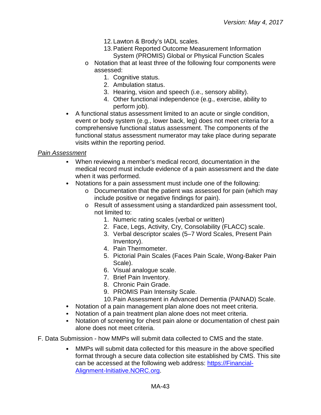- 12.Lawton & Brody's IADL scales.
- 13.Patient Reported Outcome Measurement Information System (PROMIS) Global or Physical Function Scales
- o Notation that at least three of the following four components were assessed:
	- 1. Cognitive status.
	- 2. Ambulation status.
	- 3. Hearing, vision and speech (i.e., sensory ability).
	- 4. Other functional independence (e.g., exercise, ability to perform job).
- A functional status assessment limited to an acute or single condition, event or body system (e.g., lower back, leg) does not meet criteria for a comprehensive functional status assessment. The components of the functional status assessment numerator may take place during separate visits within the reporting period.

#### *Pain Assessment*

- When reviewing a member's medical record, documentation in the medical record must include evidence of a pain assessment and the date when it was performed.
- Notations for a pain assessment must include one of the following:
	- o Documentation that the patient was assessed for pain (which may include positive or negative findings for pain).
	- o Result of assessment using a standardized pain assessment tool, not limited to:
		- 1. Numeric rating scales (verbal or written)
		- 2. Face, Legs, Activity, Cry, Consolability (FLACC) scale.
		- 3. Verbal descriptor scales (5–7 Word Scales, Present Pain Inventory).
		- 4. Pain Thermometer.
		- 5. Pictorial Pain Scales (Faces Pain Scale, Wong-Baker Pain Scale).
		- 6. Visual analogue scale.
		- 7. Brief Pain Inventory.
		- 8. Chronic Pain Grade.
		- 9. PROMIS Pain Intensity Scale.
		- 10.Pain Assessment in Advanced Dementia (PAINAD) Scale.
- Notation of a pain management plan alone does not meet criteria.
- Notation of a pain treatment plan alone does not meet criteria.
- Notation of screening for chest pain alone or documentation of chest pain alone does not meet criteria.
- F. Data Submission how MMPs will submit data collected to CMS and the state.
	- MMPs will submit data collected for this measure in the above specified format through a secure data collection site established by CMS. This site can be accessed at the following web address: [https://Financial-](https://financial-alignment-initiative.norc.org/)[Alignment-Initiative.NORC.org.](https://financial-alignment-initiative.norc.org/)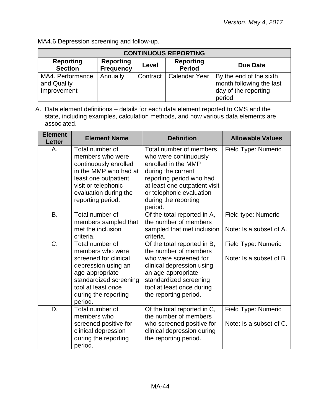MA4.6 Depression screening and follow-up.

| <b>CONTINUOUS REPORTING</b>                    |                                      |          |                                   |                                                                                       |  |
|------------------------------------------------|--------------------------------------|----------|-----------------------------------|---------------------------------------------------------------------------------------|--|
| <b>Reporting</b><br><b>Section</b>             | <b>Reporting</b><br><b>Frequency</b> | Level    | <b>Reporting</b><br><b>Period</b> | Due Date                                                                              |  |
| MA4. Performance<br>and Quality<br>Improvement | Annually                             | Contract | <b>Calendar Year</b>              | By the end of the sixth<br>month following the last<br>day of the reporting<br>period |  |

A. Data element definitions – details for each data element reported to CMS and the state, including examples, calculation methods, and how various data elements are associated.

| <b>Element</b><br><b>Letter</b> | <b>Element Name</b>                                                                                                                                                                       | <b>Definition</b>                                                                                                                                                                                                         | <b>Allowable Values</b>                        |
|---------------------------------|-------------------------------------------------------------------------------------------------------------------------------------------------------------------------------------------|---------------------------------------------------------------------------------------------------------------------------------------------------------------------------------------------------------------------------|------------------------------------------------|
| Α.                              | Total number of<br>members who were<br>continuously enrolled<br>in the MMP who had at<br>least one outpatient<br>visit or telephonic<br>evaluation during the<br>reporting period.        | Total number of members<br>who were continuously<br>enrolled in the MMP<br>during the current<br>reporting period who had<br>at least one outpatient visit<br>or telephonic evaluation<br>during the reporting<br>period. | Field Type: Numeric                            |
| <b>B.</b>                       | Total number of<br>members sampled that<br>met the inclusion<br>criteria.                                                                                                                 | Of the total reported in A,<br>the number of members<br>sampled that met inclusion<br>criteria.                                                                                                                           | Field type: Numeric<br>Note: Is a subset of A. |
| C.                              | Total number of<br>members who were<br>screened for clinical<br>depression using an<br>age-appropriate<br>standardized screening<br>tool at least once<br>during the reporting<br>period. | Of the total reported in B,<br>the number of members<br>who were screened for<br>clinical depression using<br>an age-appropriate<br>standardized screening<br>tool at least once during<br>the reporting period.          | Field Type: Numeric<br>Note: Is a subset of B. |
| D.                              | Total number of<br>members who<br>screened positive for<br>clinical depression<br>during the reporting<br>period.                                                                         | Of the total reported in C,<br>the number of members<br>who screened positive for<br>clinical depression during<br>the reporting period.                                                                                  | Field Type: Numeric<br>Note: Is a subset of C. |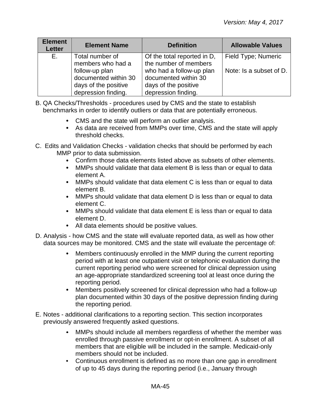| <b>Element</b><br><b>Letter</b> | <b>Element Name</b>                                                                   | <b>Definition</b>                                                                               | <b>Allowable Values</b> |
|---------------------------------|---------------------------------------------------------------------------------------|-------------------------------------------------------------------------------------------------|-------------------------|
| E.,                             | Total number of<br>members who had a                                                  | Of the total reported in D,<br>the number of members                                            | Field Type; Numeric     |
|                                 | follow-up plan<br>documented within 30<br>days of the positive<br>depression finding. | who had a follow-up plan<br>documented within 30<br>days of the positive<br>depression finding. | Note: Is a subset of D. |

- B. QA Checks/Thresholds procedures used by CMS and the state to establish benchmarks in order to identify outliers or data that are potentially erroneous.
	- CMS and the state will perform an outlier analysis.
	- As data are received from MMPs over time, CMS and the state will apply threshold checks.
- C. Edits and Validation Checks validation checks that should be performed by each MMP prior to data submission.
	- Confirm those data elements listed above as subsets of other elements.
	- MMPs should validate that data element B is less than or equal to data element A.
	- MMPs should validate that data element C is less than or equal to data element B.
	- MMPs should validate that data element D is less than or equal to data element C.
	- MMPs should validate that data element E is less than or equal to data element D.
	- All data elements should be positive values.
- D. Analysis how CMS and the state will evaluate reported data, as well as how other data sources may be monitored. CMS and the state will evaluate the percentage of:
	- Members continuously enrolled in the MMP during the current reporting  $\bullet$ period with at least one outpatient visit or telephonic evaluation during the current reporting period who were screened for clinical depression using an age-appropriate standardized screening tool at least once during the reporting period.
	- Members positively screened for clinical depression who had a follow-up  $\bullet$ plan documented within 30 days of the positive depression finding during the reporting period.
- E. Notes additional clarifications to a reporting section. This section incorporates previously answered frequently asked questions.
	- $\bullet$ MMPs should include all members regardless of whether the member was enrolled through passive enrollment or opt-in enrollment. A subset of all members that are eligible will be included in the sample. Medicaid-only members should not be included.
	- Continuous enrollment is defined as no more than one gap in enrollment of up to 45 days during the reporting period (i.e., January through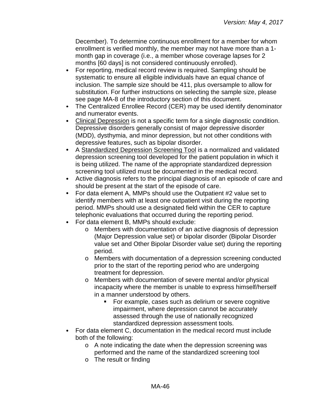December). To determine continuous enrollment for a member for whom enrollment is verified monthly, the member may not have more than a 1 month gap in coverage (i.e., a member whose coverage lapses for 2 months [60 days] is not considered continuously enrolled).

- For reporting, medical record review is required. Sampling should be  $\bullet$ systematic to ensure all eligible individuals have an equal chance of inclusion. The sample size should be 411, plus oversample to allow for substitution. For further instructions on selecting the sample size, please see page MA-8 of the introductory section of this document.
- The Centralized Enrollee Record (CER) may be used identify denominator and numerator events.
- Clinical Depression is not a specific term for a single diagnostic condition.  $\bullet$ Depressive disorders generally consist of major depressive disorder (MDD), dysthymia, and minor depression, but not other conditions with depressive features, such as bipolar disorder.
- A Standardized Depression Screening Tool is a normalized and validated depression screening tool developed for the patient population in which it is being utilized. The name of the appropriate standardized depression screening tool utilized must be documented in the medical record.
- Active diagnosis refers to the principal diagnosis of an episode of care and should be present at the start of the episode of care.
- For data element A, MMPs should use the Outpatient #2 value set to identify members with at least one outpatient visit during the reporting period. MMPs should use a designated field within the CER to capture telephonic evaluations that occurred during the reporting period.
- $\bullet$ For data element B, MMPs should exclude:
	- o Members with documentation of an active diagnosis of depression (Major Depression value set) or bipolar disorder (Bipolar Disorder value set and Other Bipolar Disorder value set) during the reporting period.
	- o Members with documentation of a depression screening conducted prior to the start of the reporting period who are undergoing treatment for depression.
	- o Members with documentation of severe mental and/or physical incapacity where the member is unable to express himself/herself in a manner understood by others.
		- **For example, cases such as delirium or severe cognitive** impairment, where depression cannot be accurately assessed through the use of nationally recognized standardized depression assessment tools.
- For data element C, documentation in the medical record must include  $\bullet$ both of the following:
	- o A note indicating the date when the depression screening was performed and the name of the standardized screening tool
	- o The result or finding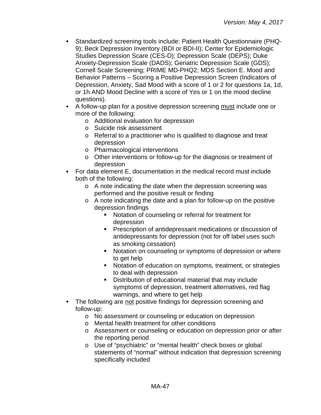- Standardized screening tools include: Patient Health Questionnaire (PHQ-9); Beck Depression Inventory (BDI or BDI-II); Center for Epidemiologic Studies Depression Scare (CES-D); Depression Scale (DEPS); Duke Anxiety-Depression Scale (DADS); Geriatric Depression Scale (GDS); Cornell Scale Screening; PRIME MD-PHQ2; MDS Section E. Mood and Behavior Patterns – Scoring a Positive Depression Screen (Indicators of Depression, Anxiety, Sad Mood with a score of 1 or 2 for questions 1a, 1d, or 1h AND Mood Decline with a score of Yes or 1 on the mood decline questions).
- $\bullet$ A follow-up plan for a positive depression screening must include one or more of the following:
	- o Additional evaluation for depression
	- o Suicide risk assessment
	- o Referral to a practitioner who is qualified to diagnose and treat depression
	- o Pharmacological interventions
	- o Other interventions or follow-up for the diagnosis or treatment of depression
- For data element E, documentation in the medical record must include both of the following:
	- o A note indicating the date when the depression screening was performed and the positive result or finding
	- o A note indicating the date and a plan for follow-up on the positive depression findings
		- Notation of counseling or referral for treatment for depression
		- **Prescription of antidepressant medications or discussion of** antidepressants for depression (not for off label uses such as smoking cessation)
		- **Notation on counseling or symptoms of depression or where** to get help
		- Notation of education on symptoms, treatment, or strategies to deal with depression
		- Distribution of educational material that may include symptoms of depression, treatment alternatives, red flag warnings, and where to get help
- The following are not positive findings for depression screening and follow-up:
	- o No assessment or counseling or education on depression
	- o Mental health treatment for other conditions
	- o Assessment or counseling or education on depression prior or after the reporting period
	- o Use of "psychiatric" or "mental health" check boxes or global statements of "normal" without indication that depression screening specifically included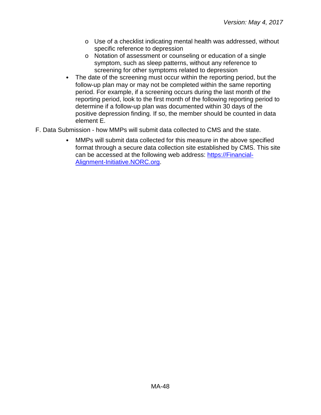- o Use of a checklist indicating mental health was addressed, without specific reference to depression
- o Notation of assessment or counseling or education of a single symptom, such as sleep patterns, without any reference to screening for other symptoms related to depression
- The date of the screening must occur within the reporting period, but the follow-up plan may or may not be completed within the same reporting period. For example, if a screening occurs during the last month of the reporting period, look to the first month of the following reporting period to determine if a follow-up plan was documented within 30 days of the positive depression finding. If so, the member should be counted in data element E.
- <span id="page-47-0"></span>F. Data Submission - how MMPs will submit data collected to CMS and the state.
	- MMPs will submit data collected for this measure in the above specified format through a secure data collection site established by CMS. This site can be accessed at the following web address: [https://Financial-](https://financial-alignment-initiative.norc.org/)[Alignment-Initiative.NORC.org.](https://financial-alignment-initiative.norc.org/)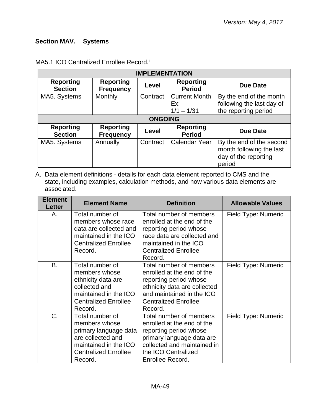# **Section MAV. Systems**

| <b>IMPLEMENTATION</b>              |                                      |          |                                             |                                                                                        |  |
|------------------------------------|--------------------------------------|----------|---------------------------------------------|----------------------------------------------------------------------------------------|--|
| <b>Reporting</b><br><b>Section</b> | <b>Reporting</b><br><b>Frequency</b> | Level    | <b>Reporting</b><br><b>Period</b>           | <b>Due Date</b>                                                                        |  |
| MA5. Systems                       | Monthly                              | Contract | <b>Current Month</b><br>Ex:<br>$1/1 - 1/31$ | By the end of the month<br>following the last day of<br>the reporting period           |  |
| <b>ONGOING</b>                     |                                      |          |                                             |                                                                                        |  |
| <b>Reporting</b><br><b>Section</b> | <b>Reporting</b><br><b>Frequency</b> | Level    | <b>Reporting</b><br><b>Period</b>           | <b>Due Date</b>                                                                        |  |
| MA5. Systems                       | Annually                             | Contract | <b>Calendar Year</b>                        | By the end of the second<br>month following the last<br>day of the reporting<br>period |  |

## MA5.1 ICO Centralized Enrollee Record. i

A. Data element definitions - details for each data element reported to CMS and the state, including examples, calculation methods, and how various data elements are associated.

| <b>Element</b><br><b>Letter</b> | <b>Element Name</b>                                                                                                                               | <b>Definition</b>                                                                                                                                                                      | <b>Allowable Values</b> |
|---------------------------------|---------------------------------------------------------------------------------------------------------------------------------------------------|----------------------------------------------------------------------------------------------------------------------------------------------------------------------------------------|-------------------------|
| Α.                              | Total number of<br>members whose race<br>data are collected and<br>maintained in the ICO<br><b>Centralized Enrollee</b><br>Record.                | Total number of members<br>enrolled at the end of the<br>reporting period whose<br>race data are collected and<br>maintained in the ICO<br><b>Centralized Enrollee</b><br>Record.      | Field Type: Numeric     |
| B.                              | Total number of<br>members whose<br>ethnicity data are<br>collected and<br>maintained in the ICO<br><b>Centralized Enrollee</b><br>Record.        | Total number of members<br>enrolled at the end of the<br>reporting period whose<br>ethnicity data are collected<br>and maintained in the ICO<br><b>Centralized Enrollee</b><br>Record. | Field Type: Numeric     |
| C.                              | Total number of<br>members whose<br>primary language data<br>are collected and<br>maintained in the ICO<br><b>Centralized Enrollee</b><br>Record. | Total number of members<br>enrolled at the end of the<br>reporting period whose<br>primary language data are<br>collected and maintained in<br>the ICO Centralized<br>Enrollee Record. | Field Type: Numeric     |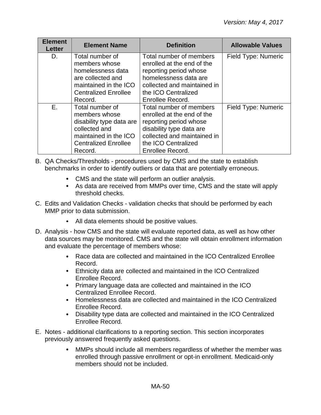| <b>Element</b><br><b>Letter</b> | <b>Element Name</b>                                                                                                                              | <b>Definition</b>                                                                                                                                                                     | <b>Allowable Values</b> |
|---------------------------------|--------------------------------------------------------------------------------------------------------------------------------------------------|---------------------------------------------------------------------------------------------------------------------------------------------------------------------------------------|-------------------------|
| D.                              | Total number of<br>members whose<br>homelessness data<br>are collected and<br>maintained in the ICO<br><b>Centralized Enrollee</b><br>Record.    | Total number of members<br>enrolled at the end of the<br>reporting period whose<br>homelessness data are<br>collected and maintained in<br>the ICO Centralized<br>Enrollee Record.    | Field Type: Numeric     |
| Е.                              | Total number of<br>members whose<br>disability type data are<br>collected and<br>maintained in the ICO<br><b>Centralized Enrollee</b><br>Record. | Total number of members<br>enrolled at the end of the<br>reporting period whose<br>disability type data are<br>collected and maintained in<br>the ICO Centralized<br>Enrollee Record. | Field Type: Numeric     |

- B. QA Checks/Thresholds procedures used by CMS and the state to establish benchmarks in order to identify outliers or data that are potentially erroneous.
	- CMS and the state will perform an outlier analysis.
	- As data are received from MMPs over time, CMS and the state will apply threshold checks.
- C. Edits and Validation Checks validation checks that should be performed by each MMP prior to data submission.
	- All data elements should be positive values.
- D. Analysis how CMS and the state will evaluate reported data, as well as how other data sources may be monitored. CMS and the state will obtain enrollment information and evaluate the percentage of members whose:
	- Race data are collected and maintained in the ICO Centralized Enrollee  $\bullet$ Record.
	- Ethnicity data are collected and maintained in the ICO Centralized Enrollee Record.
	- Primary language data are collected and maintained in the ICO Centralized Enrollee Record.
	- Homelessness data are collected and maintained in the ICO Centralized Enrollee Record.
	- Disability type data are collected and maintained in the ICO Centralized Enrollee Record.
- E. Notes additional clarifications to a reporting section. This section incorporates previously answered frequently asked questions.
	- $\bullet$ MMPs should include all members regardless of whether the member was enrolled through passive enrollment or opt-in enrollment. Medicaid-only members should not be included.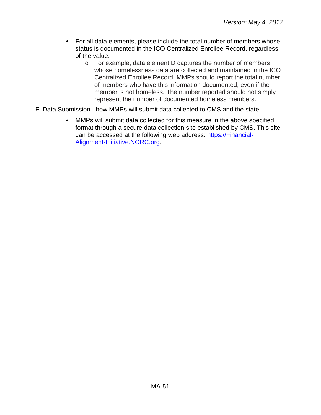- For all data elements, please include the total number of members whose status is documented in the ICO Centralized Enrollee Record, regardless of the value.
	- o For example, data element D captures the number of members whose homelessness data are collected and maintained in the ICO Centralized Enrollee Record. MMPs should report the total number of members who have this information documented, even if the member is not homeless. The number reported should not simply represent the number of documented homeless members.
- F. Data Submission how MMPs will submit data collected to CMS and the state.
	- $\bullet$ MMPs will submit data collected for this measure in the above specified format through a secure data collection site established by CMS. This site can be accessed at the following web address: [https://Financial-](https://financial-alignment-initiative.norc.org/)[Alignment-Initiative.NORC.org.](https://financial-alignment-initiative.norc.org/)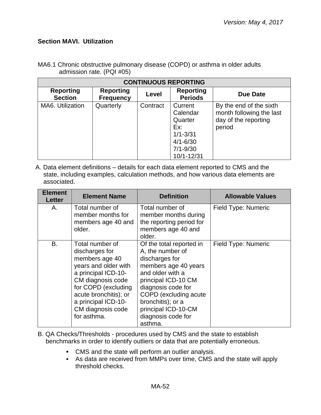## <span id="page-51-0"></span>**Section MAVI. Utilization**

| <b>CONTINUOUS REPORTING</b>        |                                      |          |                                                                                                     |                                                                                       |  |
|------------------------------------|--------------------------------------|----------|-----------------------------------------------------------------------------------------------------|---------------------------------------------------------------------------------------|--|
| <b>Reporting</b><br><b>Section</b> | <b>Reporting</b><br><b>Frequency</b> | Level    | <b>Reporting</b><br><b>Periods</b>                                                                  | Due Date                                                                              |  |
| MA6. Utilization                   | Quarterly                            | Contract | Current<br>Calendar<br>Quarter<br>Ex:<br>$1/1 - 3/31$<br>$4/1 - 6/30$<br>$7/1 - 9/30$<br>10/1-12/31 | By the end of the sixth<br>month following the last<br>day of the reporting<br>period |  |

MA6.1 Chronic obstructive pulmonary disease (COPD) or asthma in older adults admission rate. (PQI #05)

A. Data element definitions – details for each data element reported to CMS and the state, including examples, calculation methods, and how various data elements are associated.

| <b>Element</b><br>Letter | <b>Element Name</b>                                                                                                                                                                                                                | <b>Definition</b>                                                                                                                                                                                                                                              | <b>Allowable Values</b> |
|--------------------------|------------------------------------------------------------------------------------------------------------------------------------------------------------------------------------------------------------------------------------|----------------------------------------------------------------------------------------------------------------------------------------------------------------------------------------------------------------------------------------------------------------|-------------------------|
| Α.                       | Total number of<br>member months for<br>members age 40 and<br>older.                                                                                                                                                               | Total number of<br>member months during<br>the reporting period for<br>members age 40 and<br>older.                                                                                                                                                            | Field Type: Numeric     |
| B.                       | Total number of<br>discharges for<br>members age 40<br>years and older with<br>a principal ICD-10-<br>CM diagnosis code<br>for COPD (excluding<br>acute bronchitis); or<br>a principal ICD-10-<br>CM diagnosis code<br>for asthma. | Of the total reported in<br>A, the number of<br>discharges for<br>members age 40 years<br>and older with a<br>principal ICD-10 CM<br>diagnosis code for<br>COPD (excluding acute)<br>bronchitis); or a<br>principal ICD-10-CM<br>diagnosis code for<br>asthma. | Field Type: Numeric     |

- B. QA Checks/Thresholds procedures used by CMS and the state to establish benchmarks in order to identify outliers or data that are potentially erroneous.
	- CMS and the state will perform an outlier analysis.
	- As data are received from MMPs over time, CMS and the state will apply threshold checks.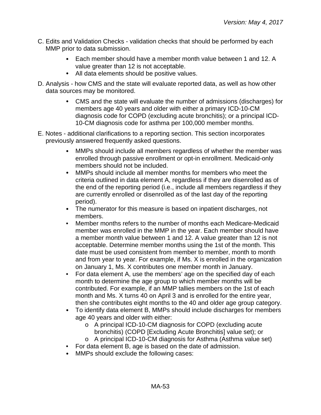- C. Edits and Validation Checks validation checks that should be performed by each MMP prior to data submission.
	- Each member should have a member month value between 1 and 12. A  $\bullet$ value greater than 12 is not acceptable.
	- All data elements should be positive values.
- D. Analysis how CMS and the state will evaluate reported data, as well as how other data sources may be monitored.
	- CMS and the state will evaluate the number of admissions (discharges) for members age 40 years and older with either a primary ICD-10-CM diagnosis code for COPD (excluding acute bronchitis); or a principal ICD-10-CM diagnosis code for asthma per 100,000 member months.
- E. Notes additional clarifications to a reporting section. This section incorporates previously answered frequently asked questions.
	- MMPs should include all members regardless of whether the member was enrolled through passive enrollment or opt-in enrollment. Medicaid-only members should not be included.
	- $\bullet$ MMPs should include all member months for members who meet the criteria outlined in data element A, regardless if they are disenrolled as of the end of the reporting period (i.e., include all members regardless if they are currently enrolled or disenrolled as of the last day of the reporting period).
	- The numerator for this measure is based on inpatient discharges, not members.
	- Member months refers to the number of months each Medicare-Medicaid member was enrolled in the MMP in the year. Each member should have a member month value between 1 and 12. A value greater than 12 is not acceptable. Determine member months using the 1st of the month. This date must be used consistent from member to member, month to month and from year to year. For example, if Ms. X is enrolled in the organization on January 1, Ms. X contributes one member month in January.
	- For data element A, use the members' age on the specified day of each month to determine the age group to which member months will be contributed. For example, if an MMP tallies members on the 1st of each month and Ms. X turns 40 on April 3 and is enrolled for the entire year, then she contributes eight months to the 40 and older age group category.
	- To identify data element B, MMPs should include discharges for members  $\bullet$ age 40 years and older with either:
		- o A principal ICD-10-CM diagnosis for COPD (excluding acute bronchitis) (COPD [Excluding Acute Bronchitis] value set); or
		- o A principal ICD-10-CM diagnosis for Asthma (Asthma value set)
	- For data element B, age is based on the date of admission.
	- MMPs should exclude the following cases: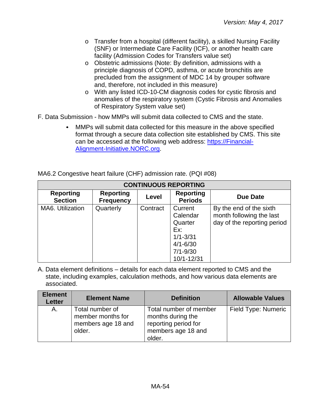- o Transfer from a hospital (different facility), a skilled Nursing Facility (SNF) or Intermediate Care Facility (ICF), or another health care facility (Admission Codes for Transfers value set)
- o Obstetric admissions (Note: By definition, admissions with a principle diagnosis of COPD, asthma, or acute bronchitis are precluded from the assignment of MDC 14 by grouper software and, therefore, not included in this measure)
- o With any listed ICD-10-CM diagnosis codes for cystic fibrosis and anomalies of the respiratory system (Cystic Fibrosis and Anomalies of Respiratory System value set)
- F. Data Submission how MMPs will submit data collected to CMS and the state.
	- MMPs will submit data collected for this measure in the above specified format through a secure data collection site established by CMS. This site can be accessed at the following web address: [https://Financial-](https://financial-alignment-initiative.norc.org/)[Alignment-Initiative.NORC.org.](https://financial-alignment-initiative.norc.org/)

| MA6.2 Congestive heart failure (CHF) admission rate. (PQI #08) |  |
|----------------------------------------------------------------|--|
|----------------------------------------------------------------|--|

| <b>CONTINUOUS REPORTING</b>        |                                      |          |                                    |                             |  |
|------------------------------------|--------------------------------------|----------|------------------------------------|-----------------------------|--|
| <b>Reporting</b><br><b>Section</b> | <b>Reporting</b><br><b>Frequency</b> | Level    | <b>Reporting</b><br><b>Periods</b> | Due Date                    |  |
| MA6. Utilization                   | Quarterly                            | Contract | Current                            | By the end of the sixth     |  |
|                                    |                                      |          | Calendar                           | month following the last    |  |
|                                    |                                      |          | Quarter                            | day of the reporting period |  |
|                                    |                                      |          | Ex:                                |                             |  |
|                                    |                                      |          | $1/1 - 3/31$                       |                             |  |
|                                    |                                      |          | $4/1 - 6/30$                       |                             |  |
|                                    |                                      |          | $7/1 - 9/30$                       |                             |  |
|                                    |                                      |          | 10/1-12/31                         |                             |  |

A. Data element definitions – details for each data element reported to CMS and the state, including examples, calculation methods, and how various data elements are associated.

| <b>Element</b><br><b>Letter</b> | <b>Element Name</b>                                                  | <b>Definition</b>                                                                                   | <b>Allowable Values</b> |
|---------------------------------|----------------------------------------------------------------------|-----------------------------------------------------------------------------------------------------|-------------------------|
| Α.                              | Total number of<br>member months for<br>members age 18 and<br>older. | Total number of member<br>months during the<br>reporting period for<br>members age 18 and<br>older. | Field Type: Numeric     |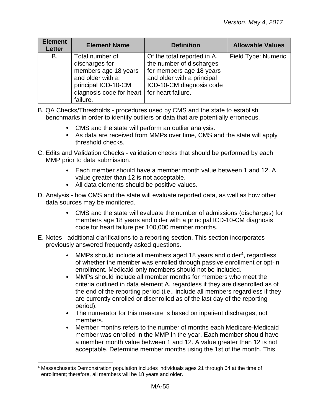| <b>Element</b><br><b>Letter</b> | <b>Element Name</b>                                                                                                                                                     | <b>Definition</b>                                                                                                                             | <b>Allowable Values</b> |
|---------------------------------|-------------------------------------------------------------------------------------------------------------------------------------------------------------------------|-----------------------------------------------------------------------------------------------------------------------------------------------|-------------------------|
| B.                              | Total number of<br>discharges for<br>members age 18 years<br>and older with a<br>principal ICD-10-CM<br>diagnosis code for heart $\vert$ for heart failure.<br>failure. | Of the total reported in A,<br>the number of discharges<br>for members age 18 years<br>and older with a principal<br>ICD-10-CM diagnosis code | Field Type: Numeric     |

- B. QA Checks/Thresholds procedures used by CMS and the state to establish benchmarks in order to identify outliers or data that are potentially erroneous.
	- CMS and the state will perform an outlier analysis.
	- As data are received from MMPs over time, CMS and the state will apply threshold checks.
- C. Edits and Validation Checks validation checks that should be performed by each MMP prior to data submission.
	- Each member should have a member month value between 1 and 12. A  $\bullet$ value greater than 12 is not acceptable.
	- All data elements should be positive values.
- D. Analysis how CMS and the state will evaluate reported data, as well as how other data sources may be monitored.
	- CMS and the state will evaluate the number of admissions (discharges) for members age 18 years and older with a principal ICD-10-CM diagnosis code for heart failure per 100,000 member months.
- E. Notes additional clarifications to a reporting section. This section incorporates previously answered frequently asked questions.
	- MMPs should include all members aged 18 years and older<sup>4</sup>, regardless  $\bullet$ of whether the member was enrolled through passive enrollment or opt-in enrollment. Medicaid-only members should not be included.
	- $\bullet$ MMPs should include all member months for members who meet the criteria outlined in data element A, regardless if they are disenrolled as of the end of the reporting period (i.e., include all members regardless if they are currently enrolled or disenrolled as of the last day of the reporting period).
	- The numerator for this measure is based on inpatient discharges, not members.
	- $\bullet$ Member months refers to the number of months each Medicare-Medicaid member was enrolled in the MMP in the year. Each member should have a member month value between 1 and 12. A value greater than 12 is not acceptable. Determine member months using the 1st of the month. This

<span id="page-54-0"></span> <sup>4</sup> Massachusetts Demonstration population includes individuals ages 21 through 64 at the time of enrollment; therefore, all members will be 18 years and older.